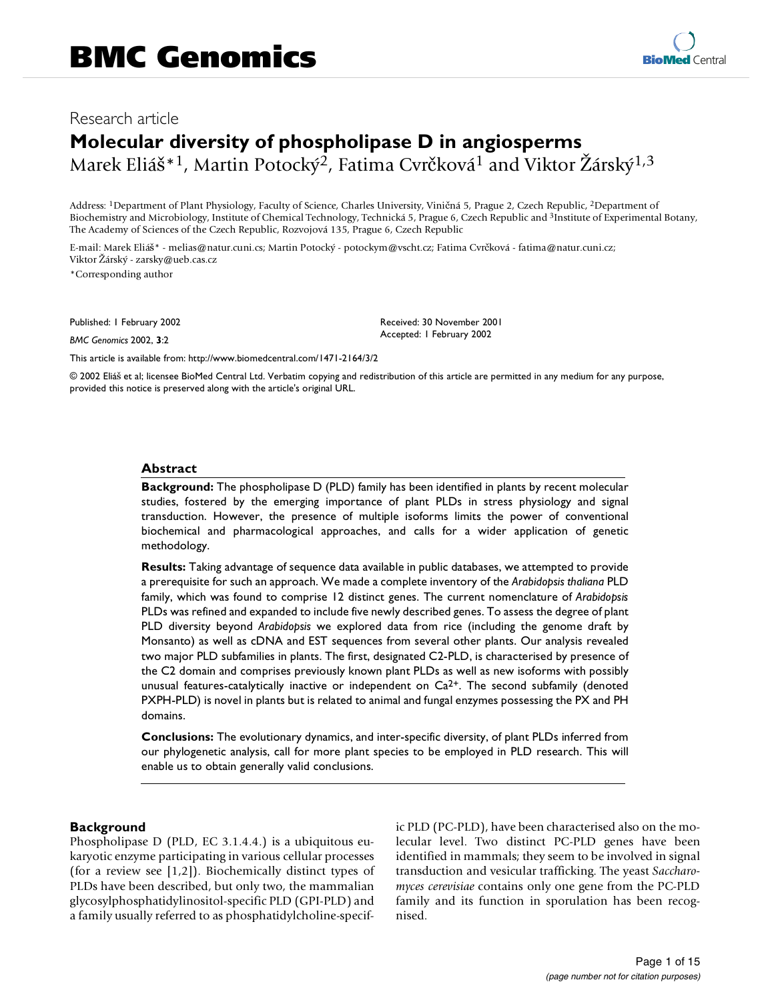# Research article

# **Molecular diversity of phospholipase D in angiosperms** Marek Eliáš<sup>\*1</sup>, Martin Potocký<sup>2</sup>, Fatima Cvrčková<sup>1</sup> and Viktor Žárský<sup>1,3</sup>

Address: 1Department of Plant Physiology, Faculty of Science, Charles University, Viničná 5, Prague 2, Czech Republic, 2Department of Biochemistry and Microbiology, Institute of Chemical Technology, Technická 5, Prague 6, Czech Republic and <sup>3</sup>Institute of Experimental Botany, The Academy of Sciences of the Czech Republic, Rozvojová 135, Prague 6, Czech Republic

E-mail: Marek Eliáš\* - melias@natur.cuni.cs; Martin Potocký - potockym@vscht.cz; Fatima Cvrčková - fatima@natur.cuni.cz; Viktor Žárský - zarsky@ueb.cas.cz

\*Corresponding author

Published: 1 February 2002

*BMC Genomics* 2002, **3**:2

Received: 30 November 2001 Accepted: 1 February 2002

[This article is available from: http://www.biomedcentral.com/1471-2164/3/2](http://www.biomedcentral.com/1471-2164/3/2)

© 2002 Eliáš et al; licensee BioMed Central Ltd. Verbatim copying and redistribution of this article are permitted in any medium for any purpose, provided this notice is preserved along with the article's original URL.

#### **Abstract**

**Background:** The phospholipase D (PLD) family has been identified in plants by recent molecular studies, fostered by the emerging importance of plant PLDs in stress physiology and signal transduction. However, the presence of multiple isoforms limits the power of conventional biochemical and pharmacological approaches, and calls for a wider application of genetic methodology.

**Results:** Taking advantage of sequence data available in public databases, we attempted to provide a prerequisite for such an approach. We made a complete inventory of the *Arabidopsis thaliana* PLD family, which was found to comprise 12 distinct genes. The current nomenclature of *Arabidopsis* PLDs was refined and expanded to include five newly described genes. To assess the degree of plant PLD diversity beyond *Arabidopsis* we explored data from rice (including the genome draft by Monsanto) as well as cDNA and EST sequences from several other plants. Our analysis revealed two major PLD subfamilies in plants. The first, designated C2-PLD, is characterised by presence of the C2 domain and comprises previously known plant PLDs as well as new isoforms with possibly unusual features-catalytically inactive or independent on  $Ca<sup>2+</sup>$ . The second subfamily (denoted PXPH-PLD) is novel in plants but is related to animal and fungal enzymes possessing the PX and PH domains.

**Conclusions:** The evolutionary dynamics, and inter-specific diversity, of plant PLDs inferred from our phylogenetic analysis, call for more plant species to be employed in PLD research. This will enable us to obtain generally valid conclusions.

## **Background**

Phospholipase D (PLD, EC 3.1.4.4.) is a ubiquitous eukaryotic enzyme participating in various cellular processes (for a review see [[1](#page-13-0),[2](#page-13-1)]). Biochemically distinct types of PLDs have been described, but only two, the mammalian glycosylphosphatidylinositol-specific PLD (GPI-PLD) and a family usually referred to as phosphatidylcholine-specific PLD (PC-PLD), have been characterised also on the molecular level. Two distinct PC-PLD genes have been identified in mammals; they seem to be involved in signal transduction and vesicular trafficking. The yeast *Saccharomyces cerevisiae* contains only one gene from the PC-PLD family and its function in sporulation has been recognised.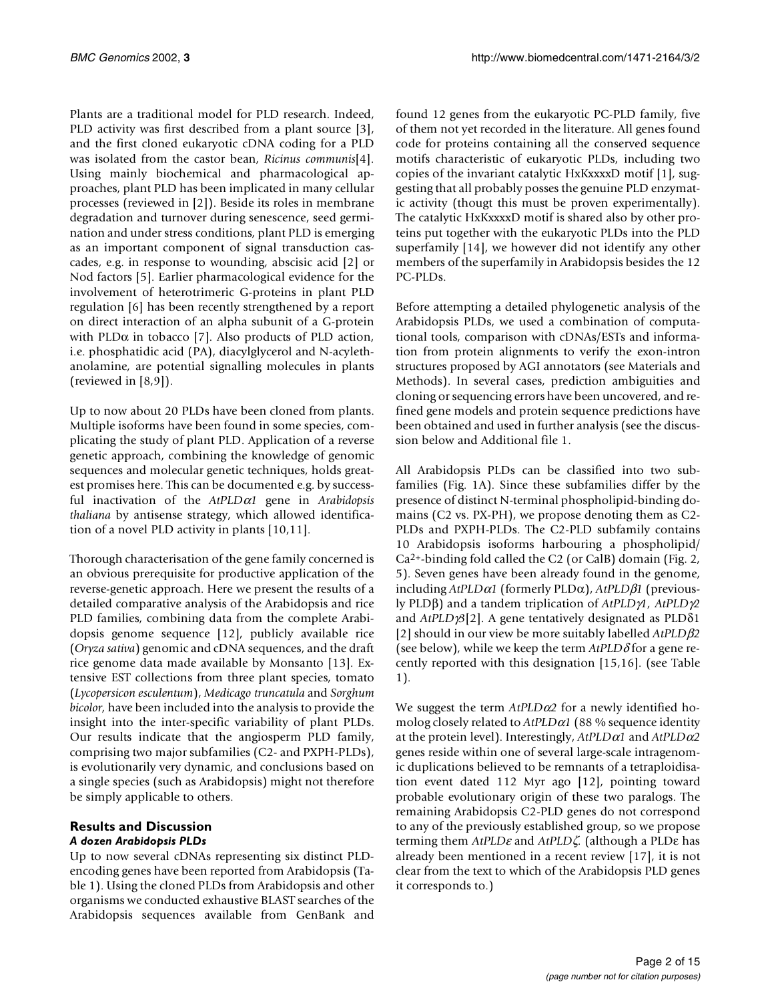Plants are a traditional model for PLD research. Indeed, PLD activity was first described from a plant source [[3](#page-13-2)], and the first cloned eukaryotic cDNA coding for a PLD was isolated from the castor bean, *Ricinus communis*[[4\]](#page-13-3). Using mainly biochemical and pharmacological approaches, plant PLD has been implicated in many cellular processes (reviewed in [[2](#page-13-1)]). Beside its roles in membrane degradation and turnover during senescence, seed germination and under stress conditions, plant PLD is emerging as an important component of signal transduction cascades, e.g. in response to wounding, abscisic acid [[2](#page-13-1)] or Nod factors [[5](#page-13-4)]. Earlier pharmacological evidence for the involvement of heterotrimeric G-proteins in plant PLD regulation [\[6\]](#page-13-5) has been recently strengthened by a report on direct interaction of an alpha subunit of a G-protein with PLD $\alpha$  in tobacco [[7](#page-13-6)]. Also products of PLD action, i.e. phosphatidic acid (PA), diacylglycerol and N-acylethanolamine, are potential signalling molecules in plants (reviewed in [[8](#page-13-7)[,9\]](#page-13-8)).

Up to now about 20 PLDs have been cloned from plants. Multiple isoforms have been found in some species, complicating the study of plant PLD. Application of a reverse genetic approach, combining the knowledge of genomic sequences and molecular genetic techniques, holds greatest promises here. This can be documented e.g. by successful inactivation of the *AtPLD*α*1* gene in *Arabidopsis thaliana* by antisense strategy, which allowed identification of a novel PLD activity in plants [[10](#page-13-9)[,11\]](#page-13-10).

Thorough characterisation of the gene family concerned is an obvious prerequisite for productive application of the reverse-genetic approach. Here we present the results of a detailed comparative analysis of the Arabidopsis and rice PLD families, combining data from the complete Arabidopsis genome sequence [\[12](#page-13-11)], publicly available rice (*Oryza sativa*) genomic and cDNA sequences, and the draft rice genome data made available by Monsanto [[13\]](#page-13-12). Extensive EST collections from three plant species, tomato (*Lycopersicon esculentum*), *Medicago truncatula* and *Sorghum bicolor,* have been included into the analysis to provide the insight into the inter-specific variability of plant PLDs. Our results indicate that the angiosperm PLD family, comprising two major subfamilies (C2- and PXPH-PLDs), is evolutionarily very dynamic, and conclusions based on a single species (such as Arabidopsis) might not therefore be simply applicable to others.

## **Results and Discussion** *A dozen Arabidopsis PLDs*

<span id="page-1-0"></span>Up to now several cDNAs representing six distinct PLDencoding genes have been reported from Arabidopsis (Table [1\)](#page-1-0). Using the cloned PLDs from Arabidopsis and other organisms we conducted exhaustive BLAST searches of the Arabidopsis sequences available from GenBank and

found 12 genes from the eukaryotic PC-PLD family, five of them not yet recorded in the literature. All genes found code for proteins containing all the conserved sequence motifs characteristic of eukaryotic PLDs, including two copies of the invariant catalytic HxKxxxxD motif [\[1](#page-13-0)], suggesting that all probably posses the genuine PLD enzymatic activity (thougt this must be proven experimentally). The catalytic HxKxxxxD motif is shared also by other proteins put together with the eukaryotic PLDs into the PLD superfamily [\[14](#page-13-13)], we however did not identify any other members of the superfamily in Arabidopsis besides the 12 PC-PLDs.

Before attempting a detailed phylogenetic analysis of the Arabidopsis PLDs, we used a combination of computational tools, comparison with cDNAs/ESTs and information from protein alignments to verify the exon-intron structures proposed by AGI annotators (see Materials and Methods). In several cases, prediction ambiguities and cloning or sequencing errors have been uncovered, and refined gene models and protein sequence predictions have been obtained and used in further analysis (see the discussion below and Additional file 1.

All Arabidopsis PLDs can be classified into two subfamilies (Fig. [1A](#page-3-0)). Since these subfamilies differ by the presence of distinct N-terminal phospholipid-binding domains (C2 vs. PX-PH), we propose denoting them as C2- PLDs and PXPH-PLDs. The C2-PLD subfamily contains 10 Arabidopsis isoforms harbouring a phospholipid/ Ca2+-binding fold called the C2 (or CalB) domain (Fig. [2,](#page-4-0) [5](#page-7-0)). Seven genes have been already found in the genome, including *AtPLD*α*1* (formerly PLDα), *AtPLD*β*1* (previously PLDβ) and a tandem triplication of *AtPLD*γ*1, AtPLD*γ*2* and *AtPLD*γ*3*[[2](#page-13-1)]. A gene tentatively designated as PLDδ1 [[2](#page-13-1)] should in our view be more suitably labelled *AtPLD*β*2* (see below), while we keep the term  $AtPLD\delta$  for a gene recently reported with this designation [[15](#page-13-14)[,16\]](#page-13-15). (see Table [1](#page-1-0)).

We suggest the term *AtPLD*α*2* for a newly identified homolog closely related to *AtPLD*α*1* (88 % sequence identity at the protein level). Interestingly, *AtPLD*α*1* and *AtPLD*α*2* genes reside within one of several large-scale intragenomic duplications believed to be remnants of a tetraploidisation event dated 112 Myr ago [[12](#page-13-11)], pointing toward probable evolutionary origin of these two paralogs. The remaining Arabidopsis C2-PLD genes do not correspond to any of the previously established group, so we propose terming them *AtPLD*ε and *AtPLD*ζ*.* (although a PLDε has already been mentioned in a recent review [\[17\]](#page-13-16), it is not clear from the text to which of the Arabidopsis PLD genes it corresponds to.)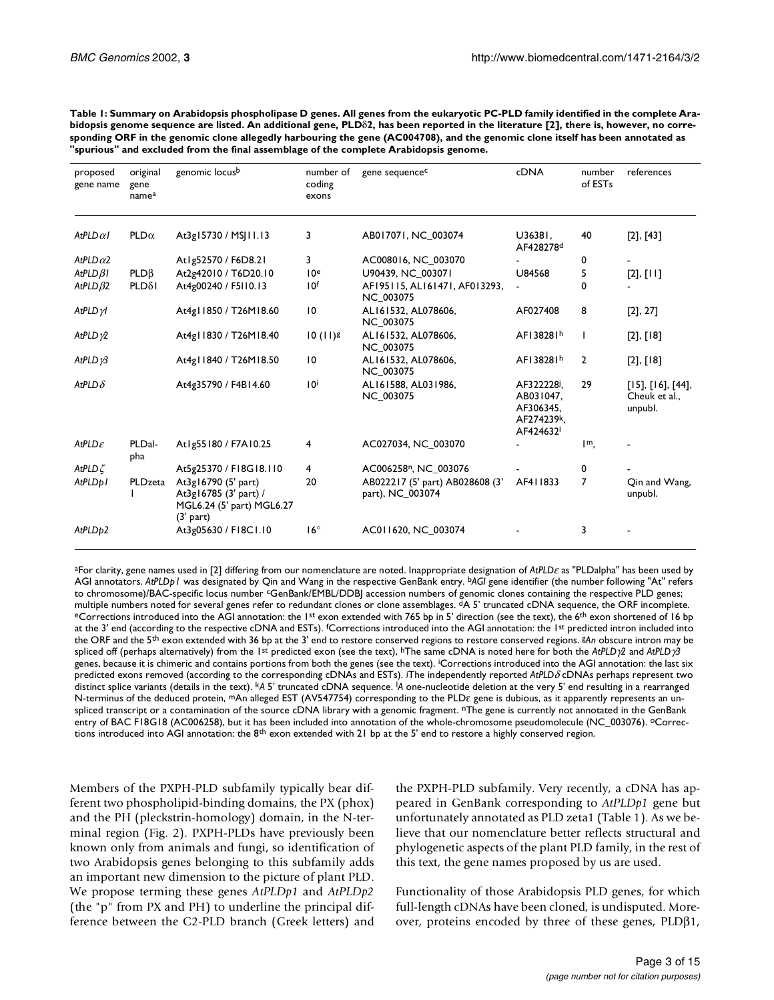| proposed            | original             | genomic locusb                                                                           | number of       | gene sequence <sup>c</sup>                          | <b>cDNA</b>                                                                 | number                    | references                                           |
|---------------------|----------------------|------------------------------------------------------------------------------------------|-----------------|-----------------------------------------------------|-----------------------------------------------------------------------------|---------------------------|------------------------------------------------------|
| gene name           | gene<br>namea        |                                                                                          | coding<br>exons |                                                     |                                                                             | of EST <sub>s</sub>       |                                                      |
| AtPLD $\alpha$ I    | $PLD\alpha$          | At3g15730 / MSJ11.13                                                                     | 3               | AB017071, NC_003074                                 | U36381,<br>AF428278 <sup>d</sup>                                            | 40                        | $[2]$ , $[43]$                                       |
| AtPLD $\alpha$ 2    |                      | Atlg52570 / F6D8.21                                                                      | 3               | AC008016, NC 003070                                 |                                                                             | 0                         |                                                      |
| $AtPLD\beta I$      | PLDB                 | At2g42010 / T6D20.10                                                                     | 10 <sup>e</sup> | U90439, NC 003071                                   | U84568                                                                      | 5                         | $[2]$ , $[11]$                                       |
| AtPLD $\beta$ 2     | $PLD\delta I$        | At4g00240 / F5I10.13                                                                     | 10 <sup>f</sup> | AF195115, AL161471, AF013293,<br><b>NC 003075</b>   | $\blacksquare$                                                              | 0                         |                                                      |
| $AtPLD\gamma$       |                      | At4g11850 / T26M18.60                                                                    | $\overline{10}$ | AL161532, AL078606,<br><b>NC 003075</b>             | AF027408                                                                    | 8                         | $[2]$ , 27]                                          |
| AtPLD $\gamma$ 2    |                      | At4g11830 / T26M18.40                                                                    | $10(11)$ g      | AL161532, AL078606,<br><b>NC 003075</b>             | AF138281h                                                                   | Ι.                        | $[2]$ , $[18]$                                       |
| AtPLD $\gamma$ 3    |                      | At4g11840 / T26M18.50                                                                    | $\overline{10}$ | AL161532, AL078606,<br><b>NC 003075</b>             | AF138281h                                                                   | $\overline{2}$            | $[2]$ , $[18]$                                       |
| AtPLD $\delta$      |                      | At4g35790 / F4B14.60                                                                     | $10^{i}$        | AL161588, AL031986,<br><b>NC 003075</b>             | AF322228 <sup>j</sup> ,<br>AB031047.<br>AF306345.<br>AF274239k,<br>AF424632 | 29                        | $[15]$ , $[16]$ , $[44]$ ,<br>Cheuk et al<br>unpubl. |
| AtPLD $\varepsilon$ | PLDal-<br><b>pha</b> | Atlg55180 / F7A10.25                                                                     | 4               | AC027034, NC 003070                                 |                                                                             | $\mathsf{I}^{\mathsf{m}}$ |                                                      |
| AtPLD $\zeta$       |                      | At5g25370 / F18G18.110                                                                   | 4               | AC006258 <sup>n</sup> , NC 003076                   |                                                                             | 0                         |                                                      |
| AtPLDp1             | PLDzeta              | At3g16790 (5' part)<br>At3g16785 (3' part) /<br>MGL6.24 (5' part) MGL6.27<br>$(3'$ part) | 20              | AB022217 (5' part) AB028608 (3'<br>part), NC_003074 | AF411833                                                                    | $\overline{7}$            | Qin and Wang,<br>unpubl.                             |
| AtPLDp2             |                      | At3g05630 / F18C1.10                                                                     | $16^{\circ}$    | AC011620, NC 003074                                 |                                                                             | 3                         |                                                      |

**Table 1: Summary on Arabidopsis phospholipase D genes. All genes from the eukaryotic PC-PLD family identified in the complete Arabidopsis genome sequence are listed. An additional gene, PLD**δ**2, has been reported in the literature [\[2](#page-13-1)], there is, however, no corresponding ORF in the genomic clone allegedly harbouring the gene (AC004708), and the genomic clone itself has been annotated as "spurious" and excluded from the final assemblage of the complete Arabidopsis genome.**

aFor clarity, gene names used in [2] differing from our nomenclature are noted. Inappropriate designation of AtPLDε as "PLDalpha" has been used by AGI annotators. *AtPLDp1* was designated by Qin and Wang in the respective GenBank entry. b*AGI* gene identifier (the number following "At" refers to chromosome)/BAC-specific locus number <sup>c</sup>GenBank/EMBL/DDBJ accession numbers of genomic clones containing the respective PLD genes; multiple numbers noted for several genes refer to redundant clones or clone assemblages. <sup>d</sup>A 5' truncated cDNA sequence, the ORF incomplete.<br><sup>e</sup>Corrections introduced into the AGI annotation: the 1<sup>st</sup> exon extended with at the 3' end (according to the respective cDNA and ESTs). <sup>f</sup>Corrections introduced into the AGI annotation: the 1st predicted intron included into the ORF and the 5th exon extended with 36 bp at the 3' end to restore conserved regions to restore conserved regions. g*An* obscure intron may be spliced off (perhaps alternatively) from the 1st predicted exon (see the text), hThe same cDNA is noted here for both the *AtPLD*γ*2* and *AtPLD*γ*3* genes, because it is chimeric and contains portions from both the genes (see the text). i Corrections introduced into the AGI annotation: the last six predicted exons removed (according to the corresponding cDNAs and ESTs). j The independently reported *AtPLD*δ cDNAs perhaps represent two distinct splice variants (details in the text). k*A* 5' truncated cDNA sequence. l *A* one-nucleotide deletion at the very 5' end resulting in a rearranged N-terminus of the deduced protein, mAn alleged EST (AV547754) corresponding to the PLDε gene is dubious, as it apparently represents an unspliced transcript or a contamination of the source cDNA library with a genomic fragment. <sup>n</sup>The gene is currently not annotated in the GenBank entry of BAC F18G18 (AC006258), but it has been included into annotation of the whole-chromosome pseudomolecule (NC\_003076). °Corrections introduced into AGI annotation: the  $8<sup>th</sup>$  exon extended with 21 bp at the 5' end to restore a highly conserved region.

Members of the PXPH-PLD subfamily typically bear different two phospholipid-binding domains, the PX (phox) and the PH (pleckstrin-homology) domain, in the N-terminal region (Fig. [2\)](#page-4-0). PXPH-PLDs have previously been known only from animals and fungi, so identification of two Arabidopsis genes belonging to this subfamily adds an important new dimension to the picture of plant PLD. We propose terming these genes *AtPLDp1* and *AtPLDp2* (the "p" from PX and PH) to underline the principal difference between the C2-PLD branch (Greek letters) and the PXPH-PLD subfamily. Very recently, a cDNA has appeared in GenBank corresponding to *AtPLDp1* gene but unfortunately annotated as PLD zeta1 (Table [1\)](#page-1-0). As we believe that our nomenclature better reflects structural and phylogenetic aspects of the plant PLD family, in the rest of this text, the gene names proposed by us are used.

Functionality of those Arabidopsis PLD genes, for which full-length cDNAs have been cloned, is undisputed. Moreover, proteins encoded by three of these genes, PLDβ1,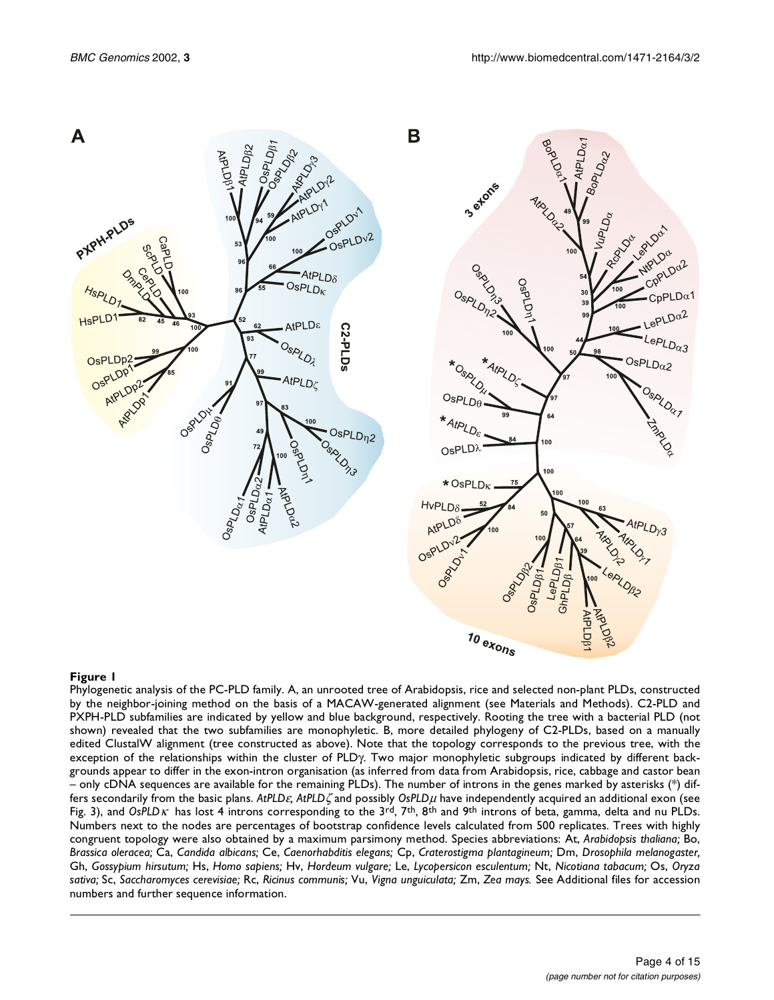

<span id="page-3-0"></span>Phylogenetic analysis of the PC-PLD family. A, an unrooted tree of Arabidopsis, rice and selected non-plant PLDs, constructed by the neighbor-joining method on the basis of a MACAW-generated alignment (see Materials and Methods). C2-PLD and PXPH-PLD subfamilies are indicated by yellow and blue background, respectively. Rooting the tree with a bacterial PLD (not shown) revealed that the two subfamilies are monophyletic. B, more detailed phylogeny of C2-PLDs, based on a manually edited ClustalW alignment (tree constructed as above). Note that the topology corresponds to the previous tree, with the exception of the relationships within the cluster of PLDγ. Two major monophyletic subgroups indicated by different backgrounds appear to differ in the exon-intron organisation (as inferred from data from Arabidopsis, rice, cabbage and castor bean – only cDNA sequences are available for the remaining PLDs). The number of introns in the genes marked by asterisks (\*) differs secondarily from the basic plans. *AtPLD*ε*, AtPLD*ζ and possibly *OsPLD*µ have independently acquired an additional exon (see Fig. [3](#page-5-0)), and *OsPLD*κ has lost 4 introns corresponding to the 3rd, 7th, 8th and 9th introns of beta, gamma, delta and nu PLDs. Numbers next to the nodes are percentages of bootstrap confidence levels calculated from 500 replicates. Trees with highly congruent topology were also obtained by a maximum parsimony method. Species abbreviations: At, *Arabidopsis thaliana;* Bo, *Brassica oleracea;* Ca, *Candida albicans;* Ce, *Caenorhabditis elegans;* Cp, *Craterostigma plantagineum;* Dm, *Drosophila melanogaster,* Gh, *Gossypium hirsutum;* Hs, *Homo sapiens;* Hv, *Hordeum vulgare;* Le, *Lycopersicon esculentum;* Nt, *Nicotiana tabacum;* Os, *Oryza sativa;* Sc, *Saccharomyces cerevisiae;* Rc, *Ricinus communis;* Vu, *Vigna unguiculata;* Zm, *Zea mays.* See Additional files for accession numbers and further sequence information.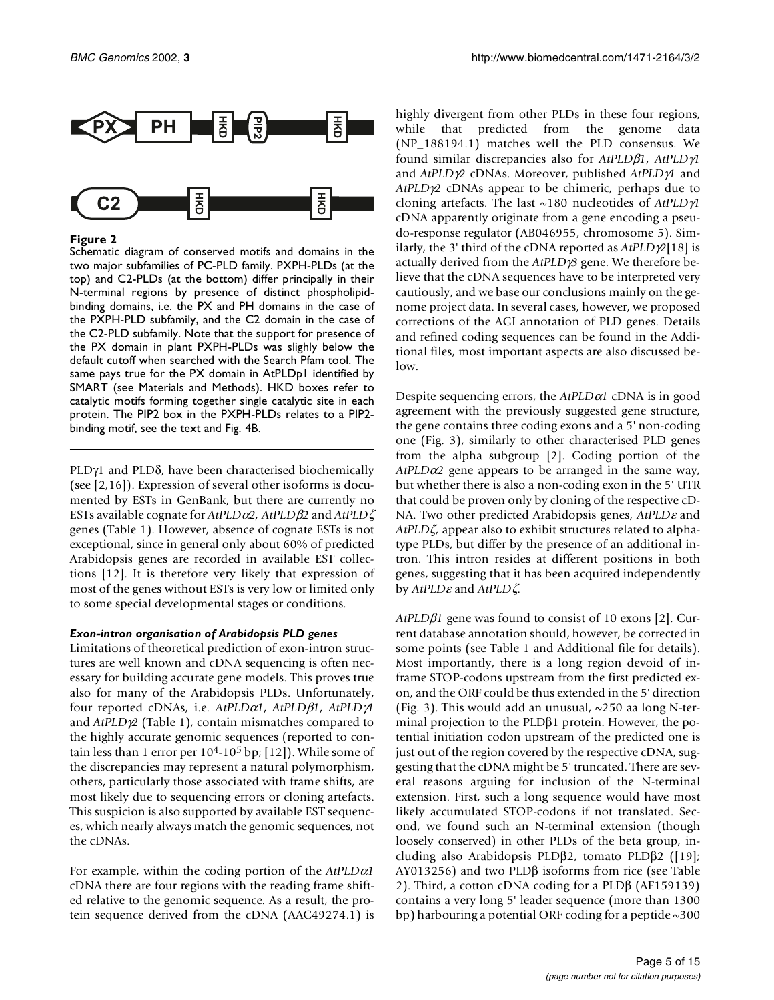

<span id="page-4-0"></span>Schematic diagram of conserved motifs and domains in the two major subfamilies of PC-PLD family. PXPH-PLDs (at the top) and C2-PLDs (at the bottom) differ principally in their N-terminal regions by presence of distinct phospholipidbinding domains, i.e. the PX and PH domains in the case of the PXPH-PLD subfamily, and the C2 domain in the case of the C2-PLD subfamily. Note that the support for presence of the PX domain in plant PXPH-PLDs was slighly below the default cutoff when searched with the Search Pfam tool. The same pays true for the PX domain in AtPLDp1 identified by SMART (see Materials and Methods). HKD boxes refer to catalytic motifs forming together single catalytic site in each protein. The PIP2 box in the PXPH-PLDs relates to a PIP2 binding motif, see the text and Fig. [4](#page-6-0)B.

PLDγ1 and PLDδ, have been characterised biochemically (see [[2](#page-13-1),[16](#page-13-15)]). Expression of several other isoforms is documented by ESTs in GenBank, but there are currently no ESTs available cognate for *AtPLD*α*2, AtPLD*β*2* and *AtPLD*ζ genes (Table [1](#page-1-0)). However, absence of cognate ESTs is not exceptional, since in general only about 60% of predicted Arabidopsis genes are recorded in available EST collections [\[12](#page-13-11)]. It is therefore very likely that expression of most of the genes without ESTs is very low or limited only to some special developmental stages or conditions.

#### *Exon-intron organisation of Arabidopsis PLD genes*

Limitations of theoretical prediction of exon-intron structures are well known and cDNA sequencing is often necessary for building accurate gene models. This proves true also for many of the Arabidopsis PLDs. Unfortunately, four reported cDNAs, i.e. *AtPLD*α*1*, *AtPLD*β*1*, *AtPLD*γ*1* and *AtPLD*γ*2* (Table [1\)](#page-1-0), contain mismatches compared to the highly accurate genomic sequences (reported to contain less than 1 error per  $10^{4}$ -10<sup>5</sup> bp; [[12](#page-13-11)]). While some of the discrepancies may represent a natural polymorphism, others, particularly those associated with frame shifts, are most likely due to sequencing errors or cloning artefacts. This suspicion is also supported by available EST sequences, which nearly always match the genomic sequences, not the cDNAs.

<span id="page-4-1"></span>For example, within the coding portion of the *AtPLD*α*1* cDNA there are four regions with the reading frame shifted relative to the genomic sequence. As a result, the protein sequence derived from the cDNA (AAC49274.1) is

highly divergent from other PLDs in these four regions, while that predicted from the genome data (NP\_188194.1) matches well the PLD consensus. We found similar discrepancies also for *AtPLD*β*1*, *AtPLD*γ*1* and *AtPLD*γ*2* cDNAs. Moreover, published *AtPLD*γ*1* and *AtPLD*γ*2* cDNAs appear to be chimeric, perhaps due to cloning artefacts. The last ~180 nucleotides of *AtPLD*γ*1* cDNA apparently originate from a gene encoding a pseudo-response regulator (AB046955, chromosome 5). Similarly, the 3' third of the cDNA reported as *AtPLD*γ*2*[[18\]](#page-13-17) is actually derived from the *AtPLD*γ*3* gene. We therefore believe that the cDNA sequences have to be interpreted very cautiously, and we base our conclusions mainly on the genome project data. In several cases, however, we proposed corrections of the AGI annotation of PLD genes. Details and refined coding sequences can be found in the Additional files, most important aspects are also discussed below.

Despite sequencing errors, the *AtPLD*α*1* cDNA is in good agreement with the previously suggested gene structure, the gene contains three coding exons and a 5' non-coding one (Fig. [3\)](#page-5-0), similarly to other characterised PLD genes from the alpha subgroup [[2](#page-13-1)]. Coding portion of the *AtPLD*α*2* gene appears to be arranged in the same way, but whether there is also a non-coding exon in the 5' UTR that could be proven only by cloning of the respective cD-NA. Two other predicted Arabidopsis genes, *AtPLD*ε and *AtPLD*ζ*,* appear also to exhibit structures related to alphatype PLDs, but differ by the presence of an additional intron. This intron resides at different positions in both genes, suggesting that it has been acquired independently by *AtPLD*ε and *AtPLD*ζ*.*

*AtPLD*β*1* gene was found to consist of 10 exons [\[2\]](#page-13-1). Current database annotation should, however, be corrected in some points (see Table [1](#page-1-0) and Additional file for details). Most importantly, there is a long region devoid of inframe STOP-codons upstream from the first predicted exon, and the ORF could be thus extended in the 5' direction (Fig. [3](#page-5-0)). This would add an unusual, ~250 aa long N-terminal projection to the PLDβ1 protein. However, the potential initiation codon upstream of the predicted one is just out of the region covered by the respective cDNA, suggesting that the cDNA might be 5' truncated. There are several reasons arguing for inclusion of the N-terminal extension. First, such a long sequence would have most likely accumulated STOP-codons if not translated. Second, we found such an N-terminal extension (though loosely conserved) in other PLDs of the beta group, including also Arabidopsis PLDβ2, tomato PLDβ2 ([\[19\]](#page-13-18); AY013256) and two PLDβ isoforms from rice (see Table [2](#page-4-1)). Third, a cotton cDNA coding for a PLDβ (AF159139) contains a very long 5' leader sequence (more than 1300 bp) harbouring a potential ORF coding for a peptide ~300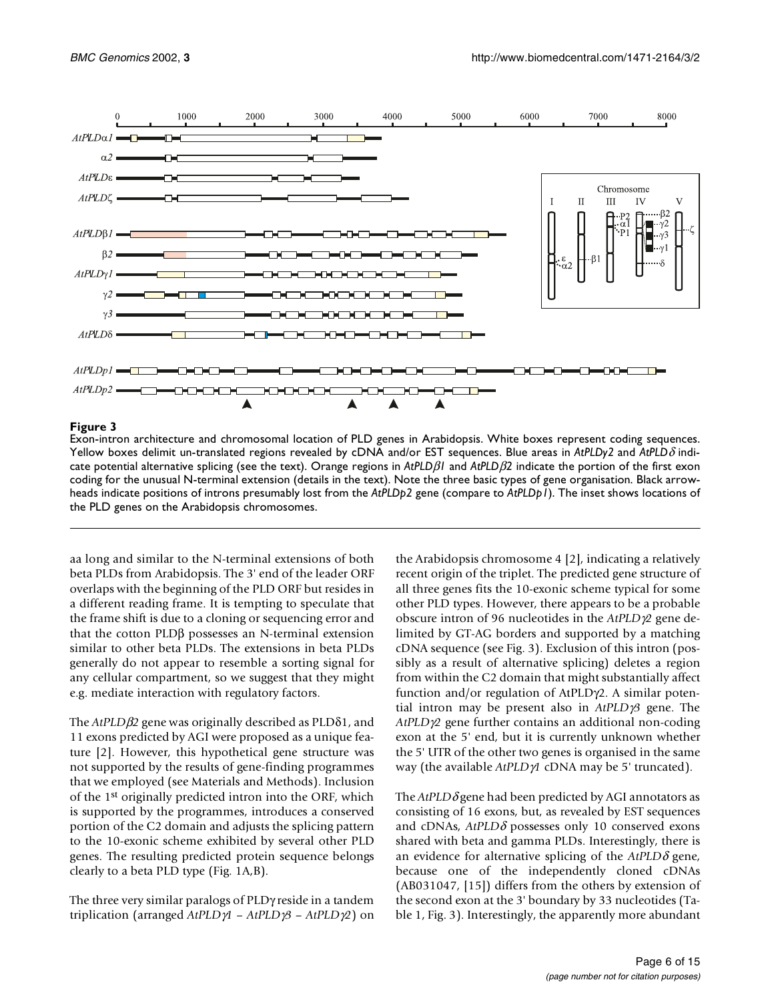

<span id="page-5-0"></span>Exon-intron architecture and chromosomal location of PLD genes in Arabidopsis. White boxes represent coding sequences. Yellow boxes delimit un-translated regions revealed by cDNA and/or EST sequences. Blue areas in *AtPLDy2* and *AtPLD*δ indicate potential alternative splicing (see the text). Orange regions in *AtPLD*β*1* and *AtPLD*β*2* indicate the portion of the first exon coding for the unusual N-terminal extension (details in the text). Note the three basic types of gene organisation. Black arrowheads indicate positions of introns presumably lost from the *AtPLDp2* gene (compare to *AtPLDp1*). The inset shows locations of the PLD genes on the Arabidopsis chromosomes.

aa long and similar to the N-terminal extensions of both beta PLDs from Arabidopsis. The 3' end of the leader ORF overlaps with the beginning of the PLD ORF but resides in a different reading frame. It is tempting to speculate that the frame shift is due to a cloning or sequencing error and that the cotton PLDβ possesses an N-terminal extension similar to other beta PLDs. The extensions in beta PLDs generally do not appear to resemble a sorting signal for any cellular compartment, so we suggest that they might e.g. mediate interaction with regulatory factors.

The *AtPLD*β*2* gene was originally described as PLDδ1, and 11 exons predicted by AGI were proposed as a unique feature [\[2\]](#page-13-1). However, this hypothetical gene structure was not supported by the results of gene-finding programmes that we employed (see Materials and Methods). Inclusion of the 1st originally predicted intron into the ORF, which is supported by the programmes, introduces a conserved portion of the C2 domain and adjusts the splicing pattern to the 10-exonic scheme exhibited by several other PLD genes. The resulting predicted protein sequence belongs clearly to a beta PLD type (Fig. [1A](#page-3-0),B).

The three very similar paralogs of PLDγ reside in a tandem triplication (arranged *AtPLD*γ*1* – *AtPLD*γ*3* – *AtPLD*γ*2*) on

the Arabidopsis chromosome 4 [\[2\]](#page-13-1), indicating a relatively recent origin of the triplet. The predicted gene structure of all three genes fits the 10-exonic scheme typical for some other PLD types. However, there appears to be a probable obscure intron of 96 nucleotides in the *AtPLD*γ*2* gene delimited by GT-AG borders and supported by a matching cDNA sequence (see Fig. [3](#page-5-0)). Exclusion of this intron (possibly as a result of alternative splicing) deletes a region from within the C2 domain that might substantially affect function and/or regulation of AtPLDγ2. A similar potential intron may be present also in *AtPLD*γ*3* gene. The *AtPLD*γ*2* gene further contains an additional non-coding exon at the 5' end, but it is currently unknown whether the 5' UTR of the other two genes is organised in the same way (the available *AtPLD*γ*1* cDNA may be 5' truncated).

The *AtPLD*δ gene had been predicted by AGI annotators as consisting of 16 exons, but, as revealed by EST sequences and cDNAs, *AtPLD*δ possesses only 10 conserved exons shared with beta and gamma PLDs. Interestingly, there is an evidence for alternative splicing of the  $A$ tPLD $\delta$  [gene,](http://www.Arabidopsis.org/splice_site_excep.html) [because one of the independently cloned cDNAs](http://www.Arabidopsis.org/splice_site_excep.html) (AB031047, [\[15](#page-13-14)]) differs from the others by extension of the second exon at the 3' boundary by 33 nucleotides (Ta[ble 1, Fig. 3\). Interestingly, the apparently more abundant](http://www.Arabidopsis.org/splice_site_excep.html)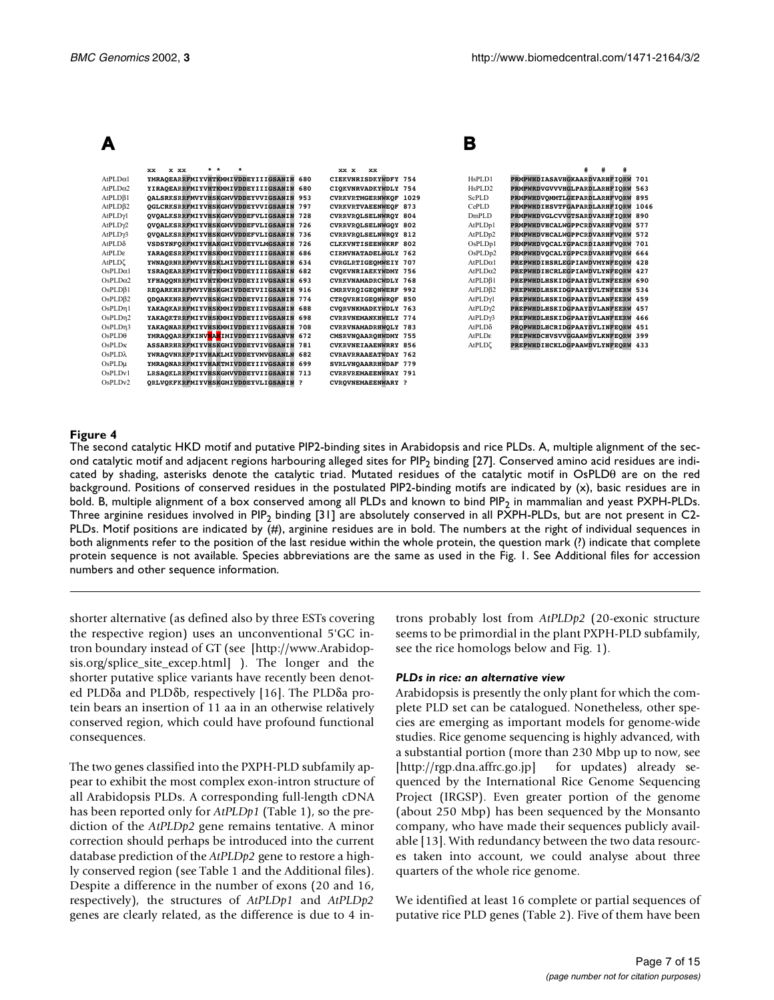|                      |                                               |                             | B                    |                                   |  |
|----------------------|-----------------------------------------------|-----------------------------|----------------------|-----------------------------------|--|
|                      | * *<br>x xx<br><b>xx</b>                      | xx x<br><b>xx</b>           |                      | #                                 |  |
| AtPLD <sub>α1</sub>  | YMRAOEARRFMIYVHTKMMIVDDEYIIIGSANIN 680        | CIEKVNRISDKYWDFY 754        | HsPLD1               | PRMPWHDIASAVHGKAARDVARHFIORW 701  |  |
| $AtPLD\alpha2$       | YIRAQEARRFMIYVHTKMMIVDDEYIIIGSANIN 680        | CIOKVNRVADKYWDLY 754        | HsPLD <sub>2</sub>   | PRMPWRDVGVVVHGLPARDLARHFIORW 563  |  |
| $AtPLD\beta1$        | OALSRKSRRFMVYVHSKGMVVDDEYVVIGSANIN 953        | CVRKVRTMGERNWKQF 1029       | ScPLD                | PRMPWHDVOMMTLGEPARDLARHFVORW 895  |  |
| $AtPLD\beta2$        | <b>QGLCRKSRRFMIYVHSKGMVVDDEYVVIGSANIN 797</b> | <b>CVRKVRTVAEENWEQF 873</b> | CePLD                | PRMPWHDIHSVTFGAPARDLARHFIORW 1046 |  |
| AtPLDγl              | OVOALKSRRFMIYVHSKGMVVDDEFVLIGSANIN 728        | <b>CVRRVROLSELNWROY 804</b> | DmPLD                | PRMPWHDVGLCVVGTSARDVARHFIORW 890  |  |
| AtPLD <sub>2</sub>   | QVQALKSRRFMIYVHSKGMVVDDEFVLIGSANIN 726        | CVRRVROLSELNWGOY 802        | AtPLDp1              | PRMPWHDVHCALWGPPCRDVARHFVORW 577  |  |
| AtPLD <sub>13</sub>  | OVOALKSRRFMIYVHSKGMVVDDEFVLIGSANIN 736        | <b>CVRRVROLSELNWROY 812</b> | AtPLDp2              | PRMPWHDVHCALWGPPCRDVARHFVORW 572  |  |
| $AtPLD\delta$        | VSDSYNFORFMIYVHAKGMIVDDEYVLMGSANIN 726        | CLKKVNTISEENWKRF 802        | OsPLDp1              | PRMPWHDVOCALYGPACRDIARHFVORW 701  |  |
| AtPLDε               | YARAQESRRFMIYVHSKMMIVDDEYIIIGSANIN 686        | CIRMVNATADELWGLY 762        | OsPLDp2              | PRMPWHDVOCALYGPPCRDVARHFVORW 664  |  |
| AtPLDζ               | YWNAORNRRFMVYVHSKLMIVDDTYILIGSANIN 634        | CVRGLRTIGEOMWEIY 707        | AtPLD <sub>α</sub> 1 | PREPWHDIHSRLEGPIAWDVMYNFEORW 428  |  |
| $OsPLD\alpha1$       | YSRAOEARRFMIYVHTKMMIVDDEYIIIGSANIN 682        | CVOKVNRIAEKYWDMY 756        | AtPLD $\alpha$ 2     | PREPWHDIHCRLEGPIAWDVLYNFEORW 427  |  |
| OsPLD <sub>0</sub> 2 | YFHAQQNRRFMIYVHTKMMIVDDEYIIVGSANIN 693        | <b>CVRKVNAMADRCWDLY 768</b> | AtPLD <sub>0</sub> 1 | PREPWHDLHSKIDGPAAYDVLTNFEERW 690  |  |
| $OsPLD\beta1$        | REOARKHRRFMVYVHSKGMIVDDEYVIIGSANIN 916        | CMRRVROIGEONWERF 992        | AtPLDB2              | PREPWHDLHSKIDGPAAYDVLTNFEERW 534  |  |
| OsPLDB2              | ODOAKKNRRFMVYVHSKGMIVDDEYVIIGSANIN 774        | CTROVRHIGEONWROF 850        | AtPLDγ1              | PREPWHDLHSKIDGPAAYDVLANFEERW 459  |  |
| OsPLDn1              | YAKAOKARRFMIYVHSKMMIVDDEYIIVGSANIN 688        | CVORVNKMADKYWDLY 763        | AtPLDy2              | PREPWHDLHSKIDGPAAYDVLANFEERW 457  |  |
| OsPLDn2              | YAKAOKTRRFMIYVHSKMMIVDDEYIIVGSANIN 698        | <b>CVRRVNEMANKHWELY 774</b> | AtPLD <sub>13</sub>  | PREPWHDLHSKIDGPAAYDVLANFEERW 466  |  |
| OsPLDn3              | YAKAONARRFMIYVHSKMMIVDDEYIIVGSANIN 708        | CVRRVNAMADRHWOLY 783        | $AtPLD\delta$        | PROPWHDLHCRIDGPAAYDVLINFEORW 451  |  |
| OsPLD <sub>θ</sub>   | YMRAOOARRFKINVNANIMIVDDEYIIVGSANVN 672        | CMSRVNOAAROHWDMY 755        | AtPLDe               | PREPWHDCHVSVVGGAAWDVLKNFEORW 399  |  |
| OsPLD <sub>K</sub>   | ASSARRHRRFMIYVHSKGMIVDDEYVIVGSANIN 781        | <b>CVKRVNEIAAENWRRY 856</b> | AtPLDζ               | PREPWHDIHCKLDGPAAWDVLYNFEORW 433  |  |
| $OsPLD\lambda$       | YWRAQVNRRFPIYVHAKLMIVDDEYVMVGSANLN 682        | <b>CVRAVRRAAEATWDAY 762</b> |                      |                                   |  |
| $OsPLD\mu$           | YMRAONARRFMIYVHAKTMIVDDEYIIVGSANIN 699        | SVRLVNQAARRHWDAF 779        |                      |                                   |  |
| OsPLDv1              | LRSAOKLRRFMIYVHSKGMVVDDEYVIIGSANIN 713        | <b>CVRRVREMAEENWRAY 791</b> |                      |                                   |  |
| OsPLDv2              | ORLVOKFKRFMIYVHSKGMIVDDEYVLIGSANIN ?          | <b>CVROVNEMAEENWARY ?</b>   |                      |                                   |  |

<span id="page-6-0"></span>The second catalytic HKD motif and putative PIP2-binding sites in Arabidopsis and rice PLDs. A, multiple alignment of the sec-ond catalytic motif and adjacent regions harbouring alleged sites for PIP<sub>2</sub> binding [\[27\]](#page-13-19). Conserved amino acid residues are indicated by shading, asterisks denote the catalytic triad. Mutated residues of the catalytic motif in OsPLDθ are on the red background. Positions of conserved residues in the postulated PIP2-binding motifs are indicated by (x), basic residues are in bold. B, multiple alignment of a box conserved among all PLDs and known to bind PIP<sub>2</sub> in mammalian and yeast PXPH-PLDs. Three arginine residues involved in PIP<sub>2</sub> binding [[31](#page-13-20)] are absolutely conserved in all PXPH-PLDs, but are not present in C2-PLDs. Motif positions are indicated by (#), arginine residues are in bold. The numbers at the right of individual sequences in both alignments refer to the position of the last residue within the whole protein, the question mark (?) indicate that complete protein sequence is not available. Species abbreviations are the same as used in the Fig. [1.](#page-3-0) See Additional files for accession numbers and other sequence information.

[shorter alternative \(as defined also by three ESTs covering](http://www.Arabidopsis.org/splice_site_excep.html) the respective region) uses an unconventional 5'GC intron boundary instead of GT (see [http://www.Arabidopsis.org/splice\_site\_excep.html] ). The longer and the shorter putative splice variants have recently been denot[ed PLD](http://www.Arabidopsis.org/splice_site_excep.html)δa and PLDδb, respectively [[16](#page-13-15)]. The PLDδa protein bears an insertion of 11 aa in an otherwise relatively conserved region, which could have profound functional consequences.

The two genes classified into the PXPH-PLD subfamily appear to exhibit the most complex exon-intron structure of all Arabidopsis PLDs. A corresponding full-length cDNA has been reported only for *AtPLDp1* (Table [1\)](#page-1-0), so the prediction of the *AtPLDp2* gene remains tentative. A minor correction should perhaps be introduced into the current database prediction of the *AtPLDp2* gene to restore a highly conserved region (see Table [1](#page-1-0) and the Additional files). Despite a difference in the number of exons (20 and 16, respectively), the structures of *AtPLDp1* and *AtPLDp2* genes are clearly related, as the difference is due to 4 introns probably lost from *AtPLDp2* (20-exonic structure seems to be primordial in the plant PXPH-PLD subfamily, see the rice homologs below and Fig. [1\)](#page-3-0).

#### *PLDs in rice: an alternative view*

Arabidopsis is presently the only plant for which the complete PLD set can be catalogued. Nonetheless, other species are emerging as important models for genome-wide studies. Rice genome sequencing is highly advanced, with a substantial portion (more than 230 Mbp up to now, see [http://rgp.dna.affrc.go.jp] for updates) already sequenced by the International Rice Genome Sequencing Project (IRGSP). Even greater portion of the genome (about 250 Mbp) has been sequenced by the Monsanto company, who have made their sequences publicly available [\[13](#page-13-12)]. With redundancy between the two data resourc[es taken into account, we could analyse about three](http://rgp.dna.affrc.go.jp) quarters of the whole rice genome.

We identified at least 16 complete or partial sequences of putative rice PLD genes (Table [2](#page-4-1)). Five of them have been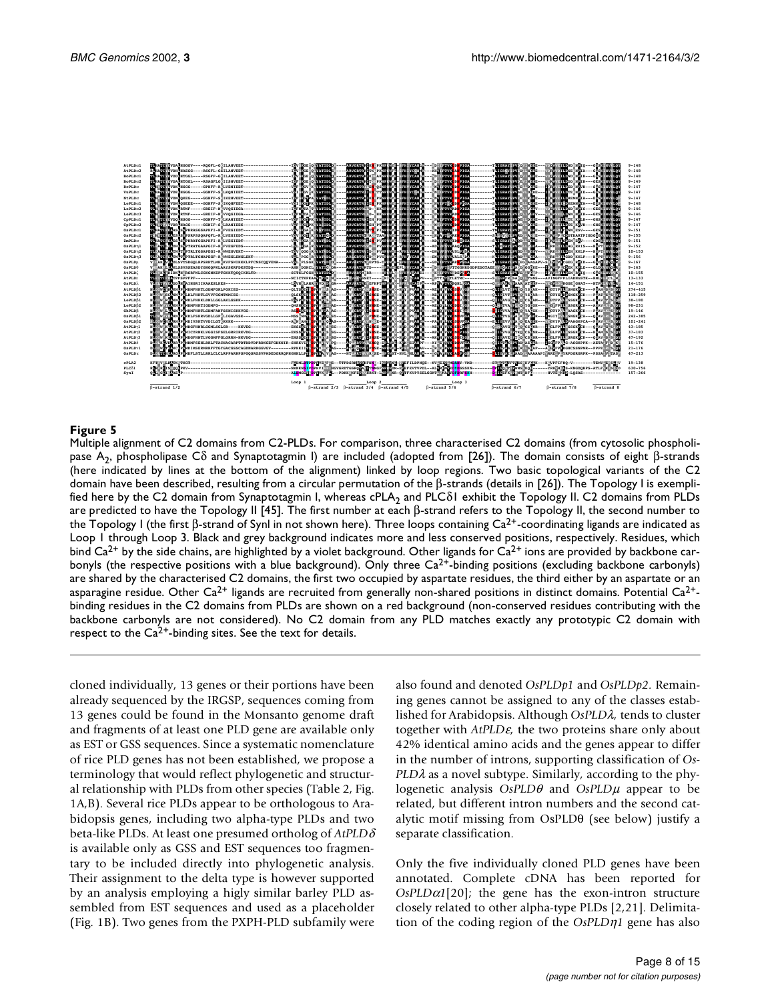

<span id="page-7-0"></span>Multiple alignment of C2 domains from C2-PLDs. For comparison, three characterised C2 domains (from cytosolic phospholipase A2, phospholipase Cδ and Synaptotagmin I) are included (adopted from [26]). The domain consists of eight β-strands (here indicated by lines at the bottom of the alignment) linked by loop regions. Two basic topological variants of the C2 domain have been described, resulting from a circular permutation of the β-strands (details in [26]). The Topology I is exemplified here by the C2 domain from Synaptotagmin I, whereas cPLA<sub>2</sub> and PLC $\delta$ I exhibit the Topology II. C2 domains from PLDs are predicted to have the Topology II [45]. The first number at each β-strand refers to the Topology II, the second number to the Topology I (the first β-strand of Synl in not shown here). Three loops containing Ca<sup>2+</sup>-coordinating ligands are indicated as Loop 1 through Loop 3. Black and grey background indicates more and less conserved positions, respectively. Residues, which bind  $Ca^{2+}$  by the side chains, are highlighted by a violet background. Other ligands for  $Ca^{2+}$  ions are provided by backbone carbonyls (the respective positions with a blue background). Only three Ca<sup>2+</sup>-binding positions (excluding backbone carbonyls) are shared by the characterised C2 domains, the first two occupied by aspartate residues, the third either by an aspartate or an asparagine residue. Other  $Ca^{2+}$  ligands are recruited from generally non-shared positions in distinct domains. Potential  $Ca^{2+}$ binding residues in the C2 domains from PLDs are shown on a red background (non-conserved residues contributing with the backbone carbonyls are not considered). No C2 domain from any PLD matches exactly any prototypic C2 domain with respect to the  $Ca^{2+}$ -binding sites. See the text for details.

cloned individually, 13 genes or their portions have been already sequenced by the IRGSP, sequences coming from 13 genes could be found in the Monsanto genome draft and fragments of at least one PLD gene are available only as EST or GSS sequences. Since a systematic nomenclature of rice PLD genes has not been established, we propose a terminology that would reflect phylogenetic and structural relationship with PLDs from other species (Table [2](#page-4-1), Fig. [1](#page-3-0)A,B). Several rice PLDs appear to be orthologous to Arabidopsis genes, including two alpha-type PLDs and two beta-like PLDs. At least one presumed ortholog of *AtPLD*δ is available only as GSS and EST sequences too fragmentary to be included directly into phylogenetic analysis. Their assignment to the delta type is however supported by an analysis employing a higly similar barley PLD assembled from EST sequences and used as a placeholder (Fig. [1](#page-3-0)B). Two genes from the PXPH-PLD subfamily were

also found and denoted *OsPLDp1* and *OsPLDp2.* Remaining genes cannot be assigned to any of the classes established for Arabidopsis. Although *OsPLD*λ*,* tends to cluster together with *AtPLD*ε*,* the two proteins share only about 42% identical amino acids and the genes appear to differ in the number of introns, supporting classification of *Os-PLD*λ as a novel subtype. Similarly, according to the phylogenetic analysis *OsPLD*θ and *OsPLD*µ appear to be related, but different intron numbers and the second catalytic motif missing from OsPLDθ (see below) justify a separate classification.

Only the five individually cloned PLD genes have been annotated. Complete cDNA has been reported for  $OsPLD\alpha1[20]$  $OsPLD\alpha1[20]$  $OsPLD\alpha1[20]$ ; the gene has the exon-intron structure closely related to other alpha-type PLDs [\[2](#page-13-1)[,21](#page-13-22)]. Delimitation of the coding region of the *OsPLD*η*1* gene has also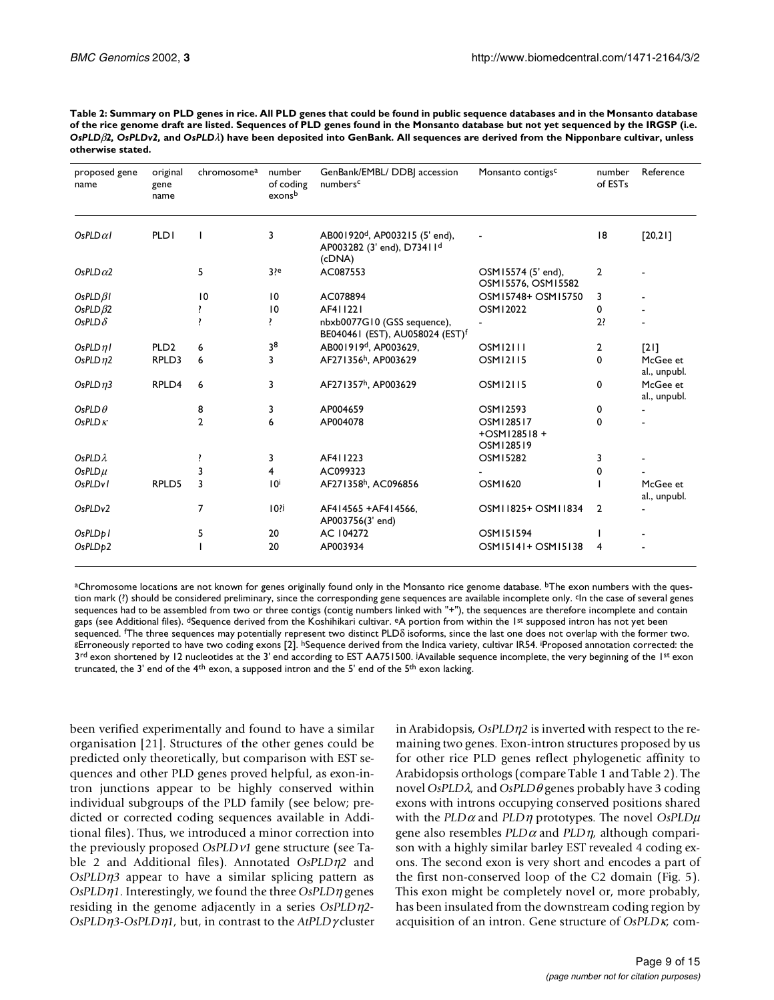| Table 2: Summary on PLD genes in rice. All PLD genes that could be found in public sequence databases and in the Monsanto database               |
|--------------------------------------------------------------------------------------------------------------------------------------------------|
| of the rice genome draft are listed. Sequences of PLD genes found in the Monsanto database but not yet sequenced by the IRGSP (i.e.              |
| OsPLD $\beta$ 2. OsPLDv2. and OsPLD $\lambda$ ) have been deposited into GenBank. All sequences are derived from the Nipponbare cultivar, unless |
| otherwise stated.                                                                                                                                |

| proposed gene<br>name | original<br>gene<br>name | chromosome <sup>a</sup> | number<br>of coding<br>exonsb | GenBank/EMBL/ DDBJ accession<br>numbersc                                                       | Monsanto contigs <sup>c</sup>            | number<br>of ESTs | Reference                |
|-----------------------|--------------------------|-------------------------|-------------------------------|------------------------------------------------------------------------------------------------|------------------------------------------|-------------------|--------------------------|
| OsPLD $\alpha$ l      | <b>PLD1</b>              |                         | 3                             | AB001920 <sup>d</sup> , AP003215 (5' end),<br>AP003282 (3' end), D73411 <sup>d</sup><br>(cDNA) |                                          | 8                 | [20,21]                  |
| OsPLD $\alpha$ 2      |                          | 5                       | $3$ ?e                        | AC087553                                                                                       | OSM15574 (5' end),<br>OSM15576, OSM15582 | $\overline{2}$    |                          |
| $OsPLD\beta I$        |                          | $\overline{10}$         | $\overline{10}$               | AC078894                                                                                       | OSM15748+ OSM15750                       | 3                 |                          |
| OsPLD $\beta$ 2       |                          |                         | $\overline{10}$               | AF411221                                                                                       | OSM12022                                 | 0                 |                          |
| OsPLD $\delta$        |                          |                         | ŗ.                            | nbxb0077G10 (GSS sequence),<br>BE040461 (EST), AU058024 (EST) <sup>f</sup>                     |                                          | 2?                |                          |
| OsPLDnl               | PLD <sub>2</sub>         | 6                       | 38                            | AB001919 <sup>d</sup> , AP003629,                                                              | <b>OSM12111</b>                          | 2                 | [2]                      |
| OsPLD $\eta$ 2        | RPLD3                    | 6                       | 3                             | AF271356h, AP003629                                                                            | <b>OSM12115</b>                          | 0                 | McGee et<br>al., unpubl. |
| OsPLD $n3$            | RPLD4                    | 6                       | 3                             | AF271357h, AP003629                                                                            | <b>OSM12115</b>                          | 0                 | McGee et<br>al., unpubl. |
| OsPLD $\theta$        |                          | 8                       | 3                             | AP004659                                                                                       | OSM12593                                 | 0                 |                          |
| OsPLD $\kappa$        |                          | $\overline{2}$          | 6                             | AP004078                                                                                       | OSM128517<br>+OSM128518+<br>OSM128519    | 0                 |                          |
| $OSPLD\lambda$        |                          |                         | 3                             | AF411223                                                                                       | <b>OSM15282</b>                          | 3                 |                          |
| $OsPLD\mu$            |                          |                         | 4                             | AC099323                                                                                       |                                          | 0                 |                          |
| OsPLD <sub>v</sub> 1  | RPLD5                    | 3                       | 10 <sup>i</sup>               | AF271358h, AC096856                                                                            | OSM1620                                  |                   | McGee et<br>al., unpubl. |
| OsPLDv2               |                          | 7                       | $10$ ?i                       | AF414565 + AF414566.<br>AP003756(3' end)                                                       | OSM11825+ OSM11834                       | $\overline{2}$    |                          |
| OsPLDp1               |                          | 5                       | 20                            | AC 104272                                                                                      | OSM151594                                |                   |                          |
| OsPLDp2               |                          |                         | 20                            | AP003934                                                                                       | OSM15141+ OSM15138                       | 4                 |                          |

aChromosome locations are not known for genes originally found only in the Monsanto rice genome database. <sup>b</sup>The exon numbers with the question mark (?) should be considered preliminary, since the corresponding gene sequences are available incomplete only. <sup>c</sup>In the case of several genes sequences had to be assembled from two or three contigs (contig numbers linked with "+"), the sequences are therefore incomplete and contain gaps (see Additional files). <sup>d</sup>Sequence derived from the Koshihikari cultivar. <sup>e</sup>A portion from within the 1<sup>st</sup> supposed intron has not yet been sequenced. 'The three sequences may potentially represent two distinct PLD $\delta$  isoforms, since the last one does not overlap with the former two.<br>8Erroneously reported to have two coding exons [[2\]](#page-13-1). <sup>h</sup>Sequence derived from 8Erroneously reported to have two coding exons [2]. hSequence derived from the Indica variety, cultivar IR54. Proposed annotation corrected: the 3<sup>rd</sup> exon shortened by 12 nucleotides at the 3' end according to EST AA751500. <sup>j</sup>Available sequence incomplete, the very beginning of the 1<sup>st</sup> exon truncated, the 3' end of the 4<sup>th</sup> exon, a supposed intron and the 5' end of the 5<sup>th</sup> exon lacking.

been verified experimentally and found to have a similar organisation [\[21](#page-13-22)]. Structures of the other genes could be predicted only theoretically, but comparison with EST sequences and other PLD genes proved helpful, as exon-intron junctions appear to be highly conserved within individual subgroups of the PLD family (see below; predicted or corrected coding sequences available in Additional files). Thus, we introduced a minor correction into the previously proposed *OsPLD*ν*1* gene structure (see Table [2](#page-4-1) and Additional files). Annotated *OsPLD*η*2* and *OsPLD*η*3* appear to have a similar splicing pattern as *OsPLD*η*1.* Interestingly, we found the three *OsPLD*η genes residing in the genome adjacently in a series *OsPLD*η*2- OsPLD*η*3-OsPLD*η*1,* but, in contrast to the *AtPLD*γ cluster in Arabidopsis, *OsPLD*η*2* is inverted with respect to the remaining two genes. Exon-intron structures proposed by us for other rice PLD genes reflect phylogenetic affinity to Arabidopsis orthologs (compare Table [1](#page-1-0) and Table [2](#page-4-1)). The novel *OsPLD*λ*,* and *OsPLD*θ genes probably have 3 coding exons with introns occupying conserved positions shared with the *PLD*α and *PLD*η prototypes. The novel *OsPLD*µ gene also resembles *PLD*α and *PLD*η*,* although comparison with a highly similar barley EST revealed 4 coding exons. The second exon is very short and encodes a part of the first non-conserved loop of the C2 domain (Fig. [5](#page-7-0)). This exon might be completely novel or, more probably, has been insulated from the downstream coding region by acquisition of an intron. Gene structure of *OsPLD*κ*,* com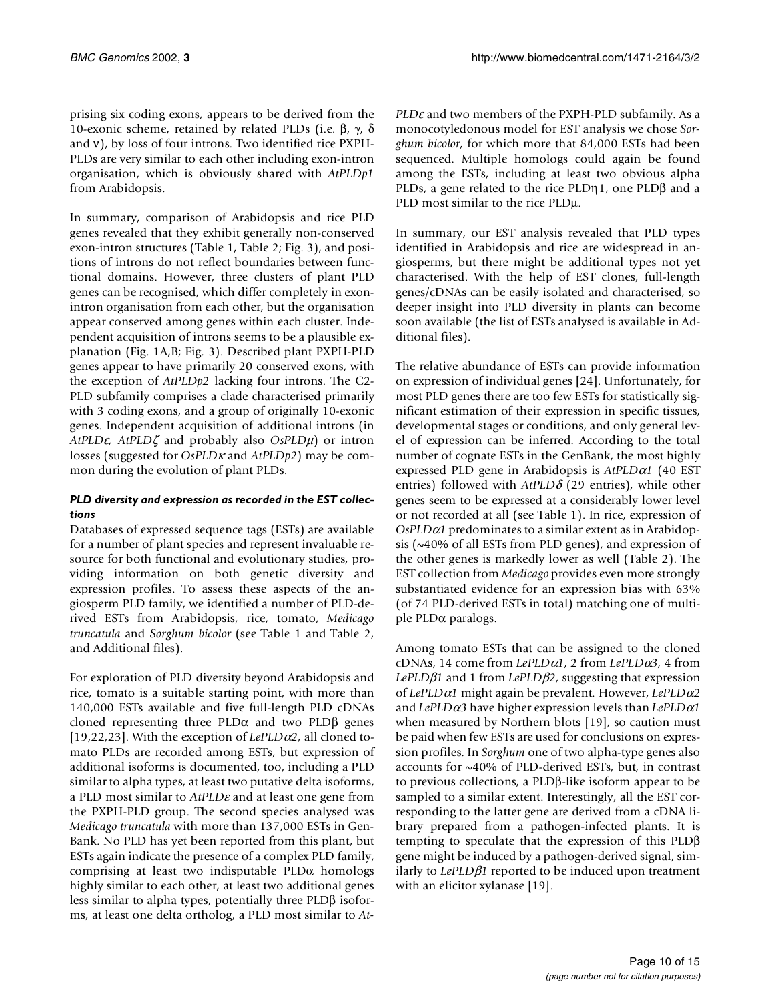prising six coding exons, appears to be derived from the 10-exonic scheme, retained by related PLDs (i.e. β, γ, δ and ν), by loss of four introns. Two identified rice PXPH-PLDs are very similar to each other including exon-intron organisation, which is obviously shared with *AtPLDp1* from Arabidopsis.

In summary, comparison of Arabidopsis and rice PLD genes revealed that they exhibit generally non-conserved exon-intron structures (Table [1,](#page-1-0) Table [2](#page-4-1); Fig. [3](#page-5-0)), and positions of introns do not reflect boundaries between functional domains. However, three clusters of plant PLD genes can be recognised, which differ completely in exonintron organisation from each other, but the organisation appear conserved among genes within each cluster. Independent acquisition of introns seems to be a plausible explanation (Fig. [1](#page-3-0)A,B; Fig. [3](#page-5-0)). Described plant PXPH-PLD genes appear to have primarily 20 conserved exons, with the exception of *AtPLDp2* lacking four introns. The C2- PLD subfamily comprises a clade characterised primarily with 3 coding exons, and a group of originally 10-exonic genes. Independent acquisition of additional introns (in *AtPLD*ε*, AtPLD*ζ and probably also *OsPLD*µ) or intron losses (suggested for *OsPLD*κ and *AtPLDp2*) may be common during the evolution of plant PLDs.

## *PLD diversity and expression as recorded in the EST collections*

Databases of expressed sequence tags (ESTs) are available for a number of plant species and represent invaluable resource for both functional and evolutionary studies, providing information on both genetic diversity and expression profiles. To assess these aspects of the angiosperm PLD family, we identified a number of PLD-derived ESTs from Arabidopsis, rice, tomato, *Medicago truncatula* and *Sorghum bicolor* (see Table [1](#page-1-0) and Table [2,](#page-4-1) and Additional files).

For exploration of PLD diversity beyond Arabidopsis and rice, tomato is a suitable starting point, with more than 140,000 ESTs available and five full-length PLD cDNAs cloned representing three  $PLD\alpha$  and two  $PLD\beta$  genes [[19](#page-13-18)[,22](#page-13-23)[,23](#page-13-24)]. With the exception of  $LePLD\alpha2$ , all cloned tomato PLDs are recorded among ESTs, but expression of additional isoforms is documented, too, including a PLD similar to alpha types, at least two putative delta isoforms, a PLD most similar to *AtPLD*ε and at least one gene from the PXPH-PLD group. The second species analysed was *Medicago truncatula* with more than 137,000 ESTs in Gen-Bank. No PLD has yet been reported from this plant, but ESTs again indicate the presence of a complex PLD family, comprising at least two indisputable  $PLD\alpha$  homologs highly similar to each other, at least two additional genes less similar to alpha types, potentially three PLDβ isoforms, at least one delta ortholog, a PLD most similar to *At-* *PLD*ε and two members of the PXPH-PLD subfamily. As a monocotyledonous model for EST analysis we chose *Sorghum bicolor,* for which more that 84,000 ESTs had been sequenced. Multiple homologs could again be found among the ESTs, including at least two obvious alpha PLDs, a gene related to the rice PLDη1, one PLDβ and a PLD most similar to the rice PLDµ.

In summary, our EST analysis revealed that PLD types identified in Arabidopsis and rice are widespread in angiosperms, but there might be additional types not yet characterised. With the help of EST clones, full-length genes/cDNAs can be easily isolated and characterised, so deeper insight into PLD diversity in plants can become soon available (the list of ESTs analysed is available in Additional files).

The relative abundance of ESTs can provide information on expression of individual genes [[24](#page-13-25)]. Unfortunately, for most PLD genes there are too few ESTs for statistically significant estimation of their expression in specific tissues, developmental stages or conditions, and only general level of expression can be inferred. According to the total number of cognate ESTs in the GenBank, the most highly expressed PLD gene in Arabidopsis is *AtPLD*α*1* (40 EST entries) followed with *AtPLD*δ (29 entries), while other genes seem to be expressed at a considerably lower level or not recorded at all (see Table [1\)](#page-1-0). In rice, expression of *OsPLD*α*1* predominates to a similar extent as in Arabidopsis (~40% of all ESTs from PLD genes), and expression of the other genes is markedly lower as well (Table [2\)](#page-4-1). The EST collection from *Medicago* provides even more strongly substantiated evidence for an expression bias with 63% (of 74 PLD-derived ESTs in total) matching one of multiple PLDα paralogs.

Among tomato ESTs that can be assigned to the cloned cDNAs, 14 come from *LePLD*α*1,* 2 from *LePLD*α*3,* 4 from *LePLD*β*1* and 1 from *LePLD*β*2,* suggesting that expression of *LePLD*α*1* might again be prevalent. However, *LePLD*α*2* and *LePLD*α*3* have higher expression levels than *LePLD*α*1* when measured by Northern blots [\[19\]](#page-13-18), so caution must be paid when few ESTs are used for conclusions on expression profiles. In *Sorghum* one of two alpha-type genes also accounts for ~40% of PLD-derived ESTs, but, in contrast to previous collections, a PLDβ-like isoform appear to be sampled to a similar extent. Interestingly, all the EST corresponding to the latter gene are derived from a cDNA library prepared from a pathogen-infected plants. It is tempting to speculate that the expression of this PLDβ gene might be induced by a pathogen-derived signal, similarly to *LePLD*β*1* reported to be induced upon treatment with an elicitor xylanase [[19\]](#page-13-18).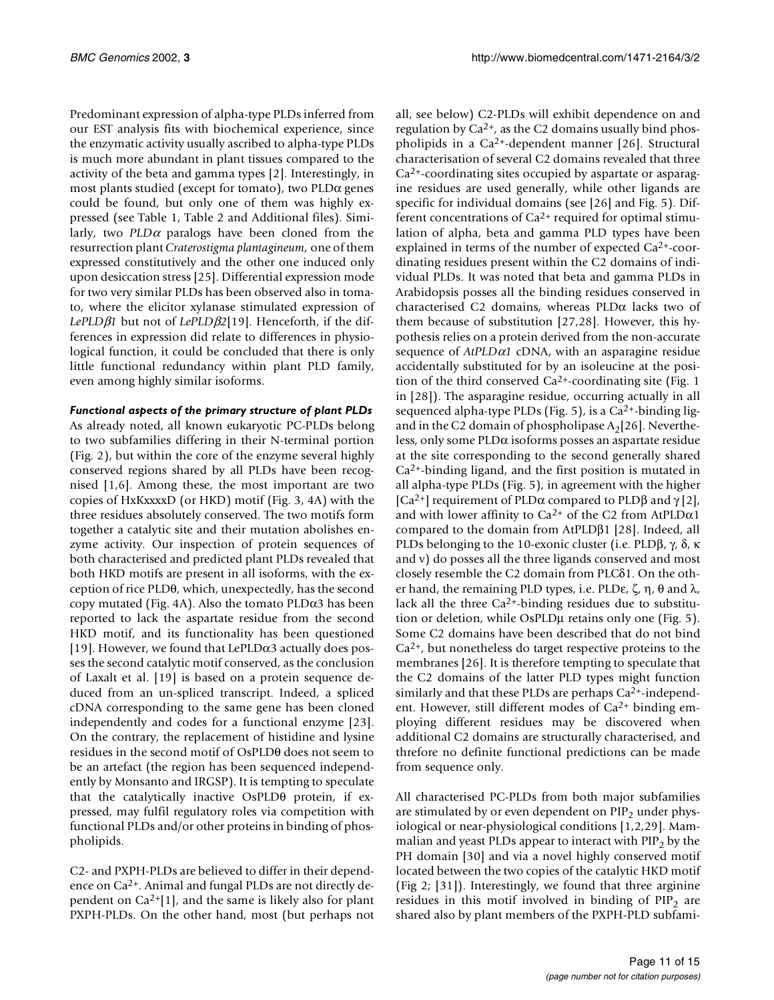Predominant expression of alpha-type PLDs inferred from our EST analysis fits with biochemical experience, since the enzymatic activity usually ascribed to alpha-type PLDs is much more abundant in plant tissues compared to the activity of the beta and gamma types [\[2](#page-13-1)]. Interestingly, in most plants studied (except for tomato), two PLDα genes could be found, but only one of them was highly expressed (see Table [1](#page-1-0), Table [2](#page-4-1) and Additional files). Similarly, two  $PLD\alpha$  paralogs have been cloned from the resurrection plant *Craterostigma plantagineum,* one of them expressed constitutively and the other one induced only upon desiccation stress [\[25](#page-13-26)]. Differential expression mode for two very similar PLDs has been observed also in tomato, where the elicitor xylanase stimulated expression of *LePLD*β*1* but not of *LePLD*β*2*[[19\]](#page-13-18). Henceforth, if the differences in expression did relate to differences in physiological function, it could be concluded that there is only little functional redundancy within plant PLD family, even among highly similar isoforms.

## *Functional aspects of the primary structure of plant PLDs*

As already noted, all known eukaryotic PC-PLDs belong to two subfamilies differing in their N-terminal portion (Fig. [2](#page-4-0)), but within the core of the enzyme several highly conserved regions shared by all PLDs have been recognised [\[1](#page-13-0)[,6\]](#page-13-5). Among these, the most important are two copies of HxKxxxxD (or HKD) motif (Fig. [3](#page-5-0), [4A](#page-6-0)) with the three residues absolutely conserved. The two motifs form together a catalytic site and their mutation abolishes enzyme activity. Our inspection of protein sequences of both characterised and predicted plant PLDs revealed that both HKD motifs are present in all isoforms, with the exception of rice PLDθ, which, unexpectedly, has the second copy mutated (Fig. [4](#page-6-0)A). Also the tomato PLDα3 has been reported to lack the aspartate residue from the second HKD motif, and its functionality has been questioned [[19](#page-13-18)]. However, we found that LePLD $\alpha$ 3 actually does posses the second catalytic motif conserved, as the conclusion of Laxalt et al. [\[19](#page-13-18)] is based on a protein sequence deduced from an un-spliced transcript. Indeed, a spliced cDNA corresponding to the same gene has been cloned independently and codes for a functional enzyme [\[23](#page-13-24)]. On the contrary, the replacement of histidine and lysine residues in the second motif of OsPLDθ does not seem to be an artefact (the region has been sequenced independently by Monsanto and IRGSP). It is tempting to speculate that the catalytically inactive OsPLDθ protein, if expressed, may fulfil regulatory roles via competition with functional PLDs and/or other proteins in binding of phospholipids.

C2- and PXPH-PLDs are believed to differ in their dependence on Ca2+. Animal and fungal PLDs are not directly dependent on  $Ca^{2+}[1]$  $Ca^{2+}[1]$ , and the same is likely also for plant PXPH-PLDs. On the other hand, most (but perhaps not

all, see below) C2-PLDs will exhibit dependence on and regulation by  $Ca^{2+}$ , as the C2 domains usually bind phospholipids in a  $Ca^{2+}$ -dependent manner [\[26](#page-13-27)]. Structural characterisation of several C2 domains revealed that three Ca2+-coordinating sites occupied by aspartate or asparagine residues are used generally, while other ligands are specific for individual domains (see [[26\]](#page-13-27) and Fig. [5](#page-7-0)). Different concentrations of  $Ca^{2+}$  required for optimal stimulation of alpha, beta and gamma PLD types have been explained in terms of the number of expected Ca2+-coordinating residues present within the C2 domains of individual PLDs. It was noted that beta and gamma PLDs in Arabidopsis posses all the binding residues conserved in characterised C2 domains, whereas PLDα lacks two of them because of substitution [\[27](#page-13-19),[28](#page-13-28)]. However, this hypothesis relies on a protein derived from the non-accurate sequence of *AtPLD*α*1* cDNA, with an asparagine residue accidentally substituted for by an isoleucine at the position of the third conserved  $Ca<sup>2+</sup>$ -coordinating site (Fig. [1](#page-3-0)) in [\[28](#page-13-28)]). The asparagine residue, occurring actually in all sequenced alpha-type PLDs (Fig.  $5$ ), is a Ca<sup>2+</sup>-binding ligand in the C2 domain of phospholipase  $A<sub>2</sub>[26]$  $A<sub>2</sub>[26]$ . Nevertheless, only some PLDα isoforms posses an aspartate residue at the site corresponding to the second generally shared  $Ca<sup>2+</sup>$ -binding ligand, and the first position is mutated in all alpha-type PLDs (Fig. [5](#page-7-0)), in agreement with the higher [Ca<sup>[2](#page-13-1)+</sup>] requirement of PLDα compared to PLDβ and  $\gamma$  [2], and with lower affinity to Ca<sup>2+</sup> of the C2 from AtPLD $\alpha$ 1 compared to the domain from AtPLDβ1 [[28](#page-13-28)]. Indeed, all PLDs belonging to the 10-exonic cluster (i.e. PLDβ, γ, δ, κ and v) do posses all the three ligands conserved and most closely resemble the C2 domain from PLCδ1. On the other hand, the remaining PLD types, i.e. PLDε,  $\zeta$ ,  $\eta$ ,  $\theta$  and  $\lambda$ , lack all the three  $Ca<sup>2+</sup>$ -binding residues due to substitution or deletion, while OsPLDµ retains only one (Fig. [5](#page-7-0)). Some C2 domains have been described that do not bind  $Ca<sup>2+</sup>$ , but nonetheless do target respective proteins to the membranes [\[26](#page-13-27)]. It is therefore tempting to speculate that the C2 domains of the latter PLD types might function similarly and that these PLDs are perhaps  $Ca<sup>2+</sup>$ -independent. However, still different modes of Ca2+ binding employing different residues may be discovered when additional C2 domains are structurally characterised, and threfore no definite functional predictions can be made from sequence only.

All characterised PC-PLDs from both major subfamilies are stimulated by or even dependent on  $\text{PIP}_2$  under physiological or near-physiological conditions [[1](#page-13-0),[2](#page-13-1),[29\]](#page-13-29). Mammalian and yeast PLDs appear to interact with  $\text{PIP}_2$  by the PH domain [\[30](#page-13-30)] and via a novel highly conserved motif located between the two copies of the catalytic HKD motif (Fig [2](#page-4-0); [[31\]](#page-13-20)). Interestingly, we found that three arginine residues in this motif involved in binding of  $PIP<sub>2</sub>$  are shared also by plant members of the PXPH-PLD subfami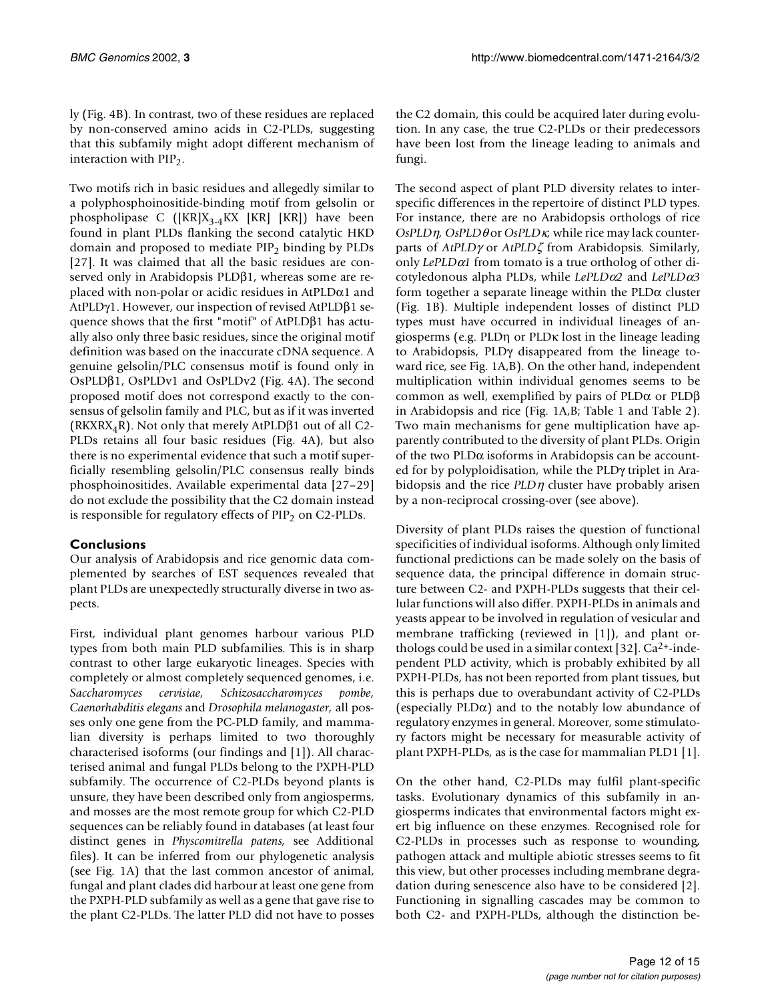ly (Fig. [4B](#page-6-0)). In contrast, two of these residues are replaced by non-conserved amino acids in C2-PLDs, suggesting that this subfamily might adopt different mechanism of interaction with  $PIP<sub>2</sub>$ .

Two motifs rich in basic residues and allegedly similar to a polyphosphoinositide-binding motif from gelsolin or phospholipase C ( $[KR]X_{3.4}KX$   $[KR]$   $[KR]$ ) have been found in plant PLDs flanking the second catalytic HKD domain and proposed to mediate  $PIP_2$  binding by PLDs [[27](#page-13-19)]. It was claimed that all the basic residues are conserved only in Arabidopsis PLDβ1, whereas some are replaced with non-polar or acidic residues in  $AtPLD\alpha1$  and AtPLDγ1. However, our inspection of revised AtPLDβ1 sequence shows that the first "motif" of AtPLDβ1 has actually also only three basic residues, since the original motif definition was based on the inaccurate cDNA sequence. A genuine gelsolin/PLC consensus motif is found only in OsPLDβ1, OsPLDv1 and OsPLDv2 (Fig. [4](#page-6-0)A). The second proposed motif does not correspond exactly to the consensus of gelsolin family and PLC, but as if it was inverted (RKXRX<sub>4</sub>R). Not only that merely AtPLD $\beta$ 1 out of all C2-PLDs retains all four basic residues (Fig. [4A](#page-6-0)), but also there is no experimental evidence that such a motif superficially resembling gelsolin/PLC consensus really binds phosphoinositides. Available experimental data [[27](#page-13-19)–[29\]](#page-13-29) do not exclude the possibility that the C2 domain instead is responsible for regulatory effects of  $PIP<sub>2</sub>$  on C2-PLDs.

# **Conclusions**

Our analysis of Arabidopsis and rice genomic data complemented by searches of EST sequences revealed that plant PLDs are unexpectedly structurally diverse in two aspects.

First, individual plant genomes harbour various PLD types from both main PLD subfamilies. This is in sharp contrast to other large eukaryotic lineages. Species with completely or almost completely sequenced genomes, i.e. *Saccharomyces cervisiae, Schizosaccharomyces pombe, Caenorhabditis elegans* and *Drosophila melanogaster,* all posses only one gene from the PC-PLD family, and mammalian diversity is perhaps limited to two thoroughly characterised isoforms (our findings and [\[1\]](#page-13-0)). All characterised animal and fungal PLDs belong to the PXPH-PLD subfamily. The occurrence of C2-PLDs beyond plants is unsure, they have been described only from angiosperms, and mosses are the most remote group for which C2-PLD sequences can be reliably found in databases (at least four distinct genes in *Physcomitrella patens,* see Additional files). It can be inferred from our phylogenetic analysis (see Fig. [1](#page-3-0)A) that the last common ancestor of animal, fungal and plant clades did harbour at least one gene from the PXPH-PLD subfamily as well as a gene that gave rise to the plant C2-PLDs. The latter PLD did not have to posses

the C2 domain, this could be acquired later during evolution. In any case, the true C2-PLDs or their predecessors have been lost from the lineage leading to animals and fungi.

The second aspect of plant PLD diversity relates to interspecific differences in the repertoire of distinct PLD types. For instance, there are no Arabidopsis orthologs of rice *OsPLD*η*, OsPLD*θ or *OsPLD*κ*,* while rice may lack counterparts of *AtPLD*γ or *AtPLD*ζ from Arabidopsis. Similarly, only *LePLD*α*1* from tomato is a true ortholog of other dicotyledonous alpha PLDs, while *LePLD*α*2* and *LePLD*α*3* form together a separate lineage within the PLDα cluster (Fig. [1](#page-3-0)B). Multiple independent losses of distinct PLD types must have occurred in individual lineages of angiosperms (e.g. PLDη or PLDκ lost in the lineage leading to Arabidopsis, PLDγ disappeared from the lineage toward rice, see Fig. [1](#page-3-0)A,B). On the other hand, independent multiplication within individual genomes seems to be common as well, exemplified by pairs of PLDα or PLDβ in Arabidopsis and rice (Fig. [1A](#page-3-0),B; Table [1](#page-1-0) and Table [2](#page-4-1)). Two main mechanisms for gene multiplication have apparently contributed to the diversity of plant PLDs. Origin of the two PLDα isoforms in Arabidopsis can be accounted for by polyploidisation, while the PLDγ triplet in Arabidopsis and the rice *PLD*η cluster have probably arisen by a non-reciprocal crossing-over (see above).

Diversity of plant PLDs raises the question of functional specificities of individual isoforms. Although only limited functional predictions can be made solely on the basis of sequence data, the principal difference in domain structure between C2- and PXPH-PLDs suggests that their cellular functions will also differ. PXPH-PLDs in animals and yeasts appear to be involved in regulation of vesicular and membrane trafficking (reviewed in [\[1\]](#page-13-0)), and plant orthologs could be used in a similar context [\[32](#page-13-31)]. Ca2+-independent PLD activity, which is probably exhibited by all PXPH-PLDs, has not been reported from plant tissues, but this is perhaps due to overabundant activity of C2-PLDs (especially PLDα) and to the notably low abundance of regulatory enzymes in general. Moreover, some stimulatory factors might be necessary for measurable activity of plant PXPH-PLDs, as is the case for mammalian PLD1 [[1](#page-13-0)].

On the other hand, C2-PLDs may fulfil plant-specific tasks. Evolutionary dynamics of this subfamily in angiosperms indicates that environmental factors might exert big influence on these enzymes. Recognised role for C2-PLDs in processes such as response to wounding, pathogen attack and multiple abiotic stresses seems to fit this view, but other processes including membrane degradation during senescence also have to be considered [[2](#page-13-1)]. Functioning in signalling cascades may be common to both C2- and PXPH-PLDs, although the distinction be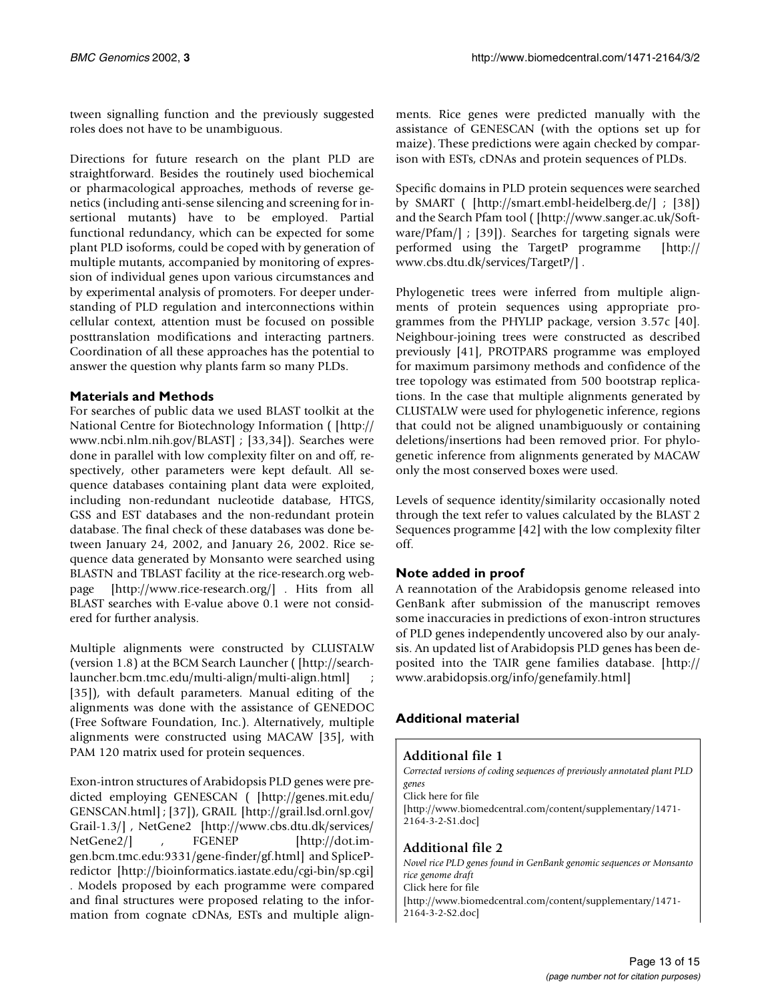tween signalling function and the previously suggested roles does not have to be unambiguous.

Directions for future research on the plant PLD are straightforward. Besides the routinely used biochemical or pharmacological approaches, methods of reverse genetics (including anti-sense silencing and screening for insertional mutants) have to be employed. Partial functional redundancy, which can be expected for some plant PLD isoforms, could be coped with by generation of multiple mutants, accompanied by monitoring of expression of individual genes upon various circumstances and by experimental analysis of promoters. For deeper understanding of PLD regulation and interconnections within cellular context, attention must be focused on possible posttranslation modifications and interacting partners. Coordination of all these approaches has the potential to answer the question why plants farm so many PLDs.

# **Materials and Methods**

For searches of public data we used BLAST toolkit at the [National Centre for Biotechnology Information \( \[http://](http://www.ncbi.nlm.nih.gov/BLAST) www.ncbi.nlm.nih.gov/BLAST] ; [\[33](#page-13-32),[34](#page-13-33)]). Searches were done in parallel with low complexity filter on and off, respectively, other parameters were kept default. All sequence databases containing plant data were exploited, including non-redundant nucleotide database, HTGS, GSS and EST databases and the non-redundant protein database. The final check of these databases was done between January 24, 2002, and January 26, 2002. Rice sequence data generated by Monsanto were searched using BLASTN and TBLAST facility at the rice-research.org web[page \[](http://www.ncbi.nlm.nih.gov/BLAST)[http://www.rice-research.org/\] . Hits from all](http://www.rice-research.org/) [BLAST searches with E-value above 0.1 were not consid](http://www.rice-research.org/)ered for further analysis.

[Multiple alignments were constructed by CLUSTALW](http://searchlauncher.bcm.tmc.edu/multi-align/multi-align.html) (version 1.8) at the BCM Search Launcher ( [http://searchlauncher.bcm.tmc.edu/multi-align/multi-align.html] ; [[35](#page-13-34)]), with default parameters. Manual editing of the alignments was done with the assistance of GENEDOC (Free Software Foundation, Inc.). Alternatively, multiple alignments were constructed using MACAW [[35\]](#page-13-34), with PAM 120 matrix used for protein sequences.

[Exon-intron structures of Arabidopsis PLD genes were pre](http://genes.mit.edu/GENSCAN.html)dicted employing GENESCAN ( [http://genes.mit.edu/ [GENSCAN.html\] ; \[37\]\), GRAIL \[](http://genes.mit.edu/GENSCAN.html)[http://grail.lsd.ornl.gov/](http://grail.lsd.ornl.gov/Grail-1.3/) [Grail-1.3/\] , NetGene2 \[](http://grail.lsd.ornl.gov/Grail-1.3/)[http://www.cbs.dtu.dk/services/](http://www.cbs.dtu.dk/services/NetGene2/) [NetGene2/\] , FGENEP \[](http://www.cbs.dtu.dk/services/NetGene2/)[http://dot.im](http://dot.imgen.bcm.tmc.edu:9331/gene-finder/gf.html)[gen.bcm.tmc.edu:9331/gene-finder/gf.html\] and SpliceP](http://dot.imgen.bcm.tmc.edu:9331/gene-finder/gf.html)[redictor \[](http://dot.imgen.bcm.tmc.edu:9331/gene-finder/gf.html)[http://bioinformatics.iastate.edu/cgi-bin/sp.cgi\]](http://bioinformatics.iastate.edu/cgi-bin/sp.cgi) [. Models proposed by each programme were compared](http://bioinformatics.iastate.edu/cgi-bin/sp.cgi) and final structures were proposed relating to the information from cognate cDNAs, ESTs and multiple align[ments. Rice genes were predicted manually with the](http://bioinformatics.iastate.edu/cgi-bin/sp.cgi) assistance of GENESCAN (with the options set up for maize). These predictions were again checked by comparison with ESTs, cDNAs and protein sequences of PLDs.

[Specific domains in PLD protein sequences were searched](http://smart.embl-heidelberg.de/) by SMART ( [http://smart.embl-heidelberg.de/] ; [[38\]](#page-14-0)) [and the Search Pfam tool \( \[](http://smart.embl-heidelberg.de/)[http://www.sanger.ac.uk/Soft](http://www.sanger.ac.uk/Software/Pfam/)[ware/Pfam/\] ; \[39\]\). Searches for targeting signals were](http://www.sanger.ac.uk/Software/Pfam/) [performed using the TargetP programme \[](http://www.sanger.ac.uk/Software/Pfam/)[http://](http://www.cbs.dtu.dk/services/TargetP/) [www.cbs.dtu.dk/services/TargetP/\] .](http://www.cbs.dtu.dk/services/TargetP/)

Phylogenetic trees were inferred from multiple alignments of protein sequences using appropriate programmes from the PHYLIP package, version 3.57c [\[40](#page-14-2)]. Neighbour-joining trees were constructed as described previously [[41\]](#page-14-3), PROTPARS programme was employed for maximum parsimony methods and confidence of the tree topology was estimated from 500 bootstrap replications. In the case that multiple alignments generated by CLUSTALW were used for phylogenetic inference, regions that could not be aligned unambiguously or containing deletions/insertions had been removed prior. For phylogenetic inference from alignments generated by MACAW only the most conserved boxes were used.

Levels of sequence identity/similarity occasionally noted through the text refer to values calculated by the BLAST 2 Sequences programme [[42\]](#page-14-4) with the low complexity filter off.

# **Note added in proof**

[A reannotation of the Arabidopsis genome released into](http://www.arabidopsis.org/info/genefamily.html) GenBank after submission of the manuscript removes some inaccuracies in predictions of exon-intron structures of PLD genes independently uncovered also by our analysis. An updated list of Arabidopsis PLD genes has been deposited into the TAIR gene families database. [http:// www.arabidopsis.org/info/genefamily.html]

# **Additional material**

# **Additional file 1**

*Corrected versions of coding sequences of previously annotated plant PLD genes* [Click here for file](http://www.biomedcentral.com/content/supplementary/1471-2164-3-2-S1.doc) [\[http://www.biomedcentral.com/content/supplementary/1471-](http://www.biomedcentral.com/content/supplementary/1471-2164-3-2-S1.doc) 2164-3-2-S1.doc]

# **Additional file 2**

*Novel rice PLD genes found in GenBank genomic sequences or Monsanto rice genome draft* [Click here for file](http://www.biomedcentral.com/content/supplementary/1471-2164-3-2-S2.doc) [\[http://www.biomedcentral.com/content/supplementary/1471-](http://www.biomedcentral.com/content/supplementary/1471-2164-3-2-S2.doc) 2164-3-2-S2.doc]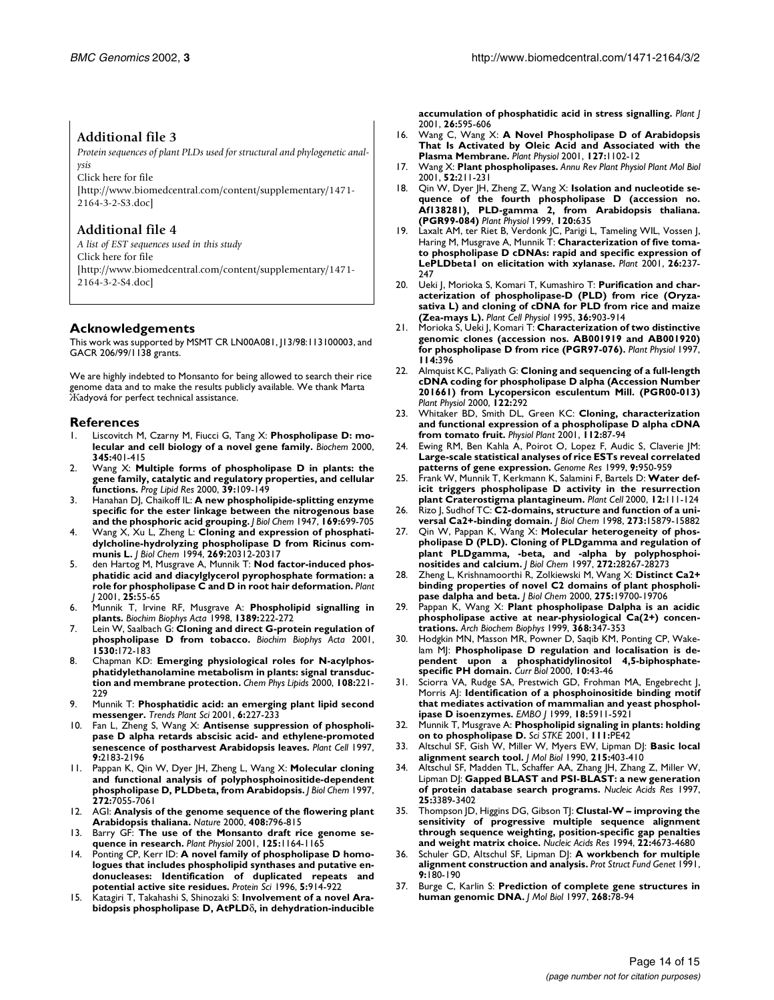## **Additional file 3**

*Protein sequences of plant PLDs used for structural and phylogenetic analysis*

[Click here for file](http://www.biomedcentral.com/content/supplementary/1471-2164-3-2-S3.doc) [\[http://www.biomedcentral.com/content/supplementary/1471-](http://www.biomedcentral.com/content/supplementary/1471-2164-3-2-S3.doc) 2164-3-2-S3.doc]

## **Additional file 4**

*A list of EST sequences used in this study* [Click here for file](http://www.biomedcentral.com/content/supplementary/1471-2164-3-2-S4.doc) [\[http://www.biomedcentral.com/content/supplementary/1471-](http://www.biomedcentral.com/content/supplementary/1471-2164-3-2-S4.doc) 2164-3-2-S4.doc]

#### **Acknowledgements**

This work was supported by MSMT CR LN00A081, J13/98:113100003, and GACR 206/99/1138 grants.

We are highly indebted to Monsanto for being allowed to search their rice genome data and to make the results publicly available. We thank Marta Жadyová for perfect technical assistance.

#### **References**

- <span id="page-13-0"></span>Liscovitch M, Czarny M, Fiucci G, Tang X: Phospholipase D: mo**lecular and cell biology of a novel gene family.** *Biochem* 2000, **345:**401-415
- <span id="page-13-1"></span>2. [Wang X:](http://www.ncbi.nlm.nih.gov/entrez/query.fcgi?cmd=Retrieve&db=PubMed&dopt=Abstract&list_uids=10775762) **Multiple forms of phospholipase D in plants: the gene family, catalytic and regulatory properties, and cellular functions.** *Prog Lipid Res* 2000, **39:**109-149
- <span id="page-13-2"></span>3. Hanahan DJ, Chaikoff IL: **A new phospholipide-splitting enzyme specific for the ester linkage between the nitrogenous base and the phosphoric acid grouping.** *J Biol Chem* 1947, **169:**699-705
- <span id="page-13-3"></span>4. [Wang X, Xu L, Zheng L:](http://www.ncbi.nlm.nih.gov/entrez/query.fcgi?cmd=Retrieve&db=PubMed&dopt=Abstract&list_uids=8051126) **Cloning and expression of phosphatidylcholine-hydrolyzing phospholipase D from Ricinus communis L.** *J Biol Chem* 1994, **269:**20312-20317
- <span id="page-13-4"></span>5. [den Hartog M, Musgrave A, Munnik T:](http://www.ncbi.nlm.nih.gov/entrez/query.fcgi?cmd=Retrieve&db=PubMed&dopt=Abstract&list_uids=11169182) **Nod factor-induced phosphatidic acid and diacylglycerol pyrophosphate formation: a role for phospholipase C and D in root hair deformation.** *Plant J* 2001, **25:**55-65
- <span id="page-13-5"></span>6. [Munnik T, Irvine RF, Musgrave A:](http://www.ncbi.nlm.nih.gov/entrez/query.fcgi?cmd=Retrieve&db=PubMed&dopt=Abstract&list_uids=9512651) **Phospholipid signalling in plants.** *Biochim Biophys Acta* 1998, **1389:**222-272
- <span id="page-13-6"></span>7. [Lein W, Saalbach G:](http://www.ncbi.nlm.nih.gov/entrez/query.fcgi?cmd=Retrieve&db=PubMed&dopt=Abstract&list_uids=11239820) **Cloning and direct G-protein regulation of phospholipase D from tobacco.** *Biochim Biophys Acta* 2001, **1530:**172-183
- <span id="page-13-7"></span>8. [Chapman KD:](http://www.ncbi.nlm.nih.gov/entrez/query.fcgi?cmd=Retrieve&db=PubMed&dopt=Abstract&list_uids=11106793) **Emerging physiological roles for N-acylphosphatidylethanolamine metabolism in plants: signal transduction and membrane protection.** *Chem Phys Lipids* 2000, **108:**221- 229
- <span id="page-13-8"></span>9. [Munnik T:](http://www.ncbi.nlm.nih.gov/entrez/query.fcgi?cmd=Retrieve&db=PubMed&dopt=Abstract&list_uids=11335176) **Phosphatidic acid: an emerging plant lipid second messenger.** *Trends Plant Sci* 2001, **6:**227-233
- <span id="page-13-9"></span>10. [Fan L, Zheng S, Wang X:](http://www.ncbi.nlm.nih.gov/entrez/query.fcgi?cmd=Retrieve&db=PubMed&dopt=Abstract&list_uids=9437863) **Antisense suppression of phospholipase D alpha retards abscisic acid- and ethylene-promoted senescence of postharvest Arabidopsis leaves.** *Plant Cell* 1997, **9:**2183-2196
- <span id="page-13-10"></span>11. [Pappan K, Qin W, Dyer JH, Zheng L, Wang X:](http://www.ncbi.nlm.nih.gov/entrez/query.fcgi?cmd=Retrieve&db=PubMed&dopt=Abstract&list_uids=9054397) **Molecular cloning and functional analysis of polyphosphoinositide-dependent phospholipase D, PLDbeta, from Arabidopsis.** *J Biol Chem* 1997, **272:**7055-7061
- <span id="page-13-11"></span>12. [AGI:](http://www.ncbi.nlm.nih.gov/entrez/query.fcgi?cmd=Retrieve&db=PubMed&dopt=Abstract&list_uids=11130711) **Analysis of the genome sequence of the flowering plant Arabidopsis thaliana.** *Nature* 2000, **408:**796-815
- <span id="page-13-12"></span>13. [Barry GF:](http://www.ncbi.nlm.nih.gov/entrez/query.fcgi?cmd=Retrieve&db=PubMed&dopt=Abstract&list_uids=11244095) **The use of the Monsanto draft rice genome sequence in research.** *Plant Physiol* 2001, **125:**1164-1165
- <span id="page-13-13"></span>14. [Ponting CP, Kerr ID:](http://www.ncbi.nlm.nih.gov/entrez/query.fcgi?cmd=Retrieve&db=PubMed&dopt=Abstract&list_uids=8732763) **A novel family of phospholipase D homologues that includes phospholipid synthases and putative endonucleases: Identification of duplicated repeats and potential active site residues.** *Protein Sci* 1996, **5:**914-922
- <span id="page-13-14"></span>15. [Katagiri T, Takahashi S, Shinozaki S:](http://www.ncbi.nlm.nih.gov/entrez/query.fcgi?cmd=Retrieve&db=PubMed&dopt=Abstract&list_uids=11489173) **Involvement of a novel Arabidopsis phospholipase D, AtPLD**δ**, in dehydration-inducible**

**accumulation of phosphatidic acid in stress signalling.** *Plant J* 2001, **26:**595-606

- <span id="page-13-15"></span>16. [Wang C, Wang X:](http://www.ncbi.nlm.nih.gov/entrez/query.fcgi?cmd=Retrieve&db=PubMed&dopt=Abstract&list_uids=11706190) **A Novel Phospholipase D of Arabidopsis That Is Activated by Oleic Acid and Associated with the Plasma Membrane.** *Plant Physiol* 2001, **127:**1102-12
- <span id="page-13-16"></span>17. [Wang X:](http://www.ncbi.nlm.nih.gov/entrez/query.fcgi?cmd=Retrieve&db=PubMed&dopt=Abstract&list_uids=11337397) **Plant phospholipases.** *Annu Rev Plant Physiol Plant Mol Biol* 2001, **52:**211-231
- <span id="page-13-17"></span>18. Qin W, Dyer JH, Zheng Z, Wang X: **Isolation and nucleotide sequence of the fourth phospholipase D (accession no. Af138281), PLD-gamma 2, from Arabidopsis thaliana. (PGR99-084)** *Plant Physiol* 1999, **120:**635
- <span id="page-13-18"></span>19. Laxalt AM, ter Riet B, Verdonk JC, Parigi L, Tameling WIL, Vossen J, Haring M, Musgrave A, Munnik T: **Characterization of five tomato phospholipase D cDNAs: rapid and specific expression of LePLDbeta1 on elicitation with xylanase.** *Plant* 2001, **26:**237- 247
- <span id="page-13-21"></span>20. [Ueki J, Morioka S, Komari T, Kumashiro T:](http://www.ncbi.nlm.nih.gov/entrez/query.fcgi?cmd=Retrieve&db=PubMed&dopt=Abstract&list_uids=7551587) **Purification and characterization of phospholipase-D (PLD) from rice (Oryzasativa L) and cloning of cDNA for PLD from rice and maize (Zea-mays L).** *Plant Cell Physiol* 1995, **36:**903-914
- <span id="page-13-22"></span>21. Morioka S, Ueki J, Komari T: **Characterization of two distinctive genomic clones (accession nos. AB001919 and AB001920) for phospholipase D from rice (PGR97-076).** *Plant Physiol* 1997, **114:**396
- <span id="page-13-23"></span>22. Almquist KC, Paliyath G: **Cloning and sequencing of a full-length cDNA coding for phospholipase D alpha (Accession Number 201661) from Lycopersicon esculentum Mill. (PGR00-013)** *Plant Physiol* 2000, **122:**292
- <span id="page-13-24"></span>23. [Whitaker BD, Smith DL, Green KC:](http://www.ncbi.nlm.nih.gov/entrez/query.fcgi?cmd=Retrieve&db=PubMed&dopt=Abstract&list_uids=11319019) **Cloning, characterization and functional expression of a phospholipase D alpha cDNA from tomato fruit.** *Physiol Plant* 2001, **112:**87-94
- <span id="page-13-25"></span>24. [Ewing RM, Ben Kahla A, Poirot O, Lopez F, Audic S, Claverie JM:](http://www.ncbi.nlm.nih.gov/entrez/query.fcgi?cmd=Retrieve&db=PubMed&dopt=Abstract&list_uids=10523523) **Large-scale statistical analyses of rice ESTs reveal correlated patterns of gene expression.** *Genome Res* 1999, **9:**950-959
- <span id="page-13-26"></span>25. [Frank W, Munnik T, Kerkmann K, Salamini F, Bartels D:](http://www.ncbi.nlm.nih.gov/entrez/query.fcgi?cmd=Retrieve&db=PubMed&dopt=Abstract&list_uids=10634911) **Water deficit triggers phospholipase D activity in the resurrection plant Craterostigma plantagineum.** *Plant Cell* 2000, **12:**111-124
- <span id="page-13-27"></span>26. [Rizo J, Sudhof TC:](http://www.ncbi.nlm.nih.gov/entrez/query.fcgi?cmd=Retrieve&db=PubMed&dopt=Abstract&list_uids=9632630) **C2-domains, structure and function of a universal Ca2+-binding domain.** *J Biol Chem* 1998, **273:**15879-15882
- <span id="page-13-19"></span>27. [Qin W, Pappan K, Wang X:](http://www.ncbi.nlm.nih.gov/entrez/query.fcgi?cmd=Retrieve&db=PubMed&dopt=Abstract&list_uids=9353280) **Molecular heterogeneity of phospholipase D (PLD). Cloning of PLDgamma and regulation of plant PLDgamma, -beta, and -alpha by polyphosphoinositides and calcium.** *J Biol Chem* 1997, **272:**28267-28273
- <span id="page-13-28"></span>28. [Zheng L, Krishnamoorthi R, Zolkiewski M, Wang X:](http://www.ncbi.nlm.nih.gov/entrez/query.fcgi?cmd=Retrieve&db=PubMed&dopt=Abstract&list_uids=10777500) **Distinct Ca2+ binding properties of novel C2 domains of plant phospholipase dalpha and beta.** *J Biol Chem* 2000, **275:**19700-19706
- <span id="page-13-29"></span>29. [Pappan K, Wang X:](http://www.ncbi.nlm.nih.gov/entrez/query.fcgi?cmd=Retrieve&db=PubMed&dopt=Abstract&list_uids=10441386) **Plant phospholipase Dalpha is an acidic phospholipase active at near-physiological Ca(2+) concentrations.** *Arch Biochem Biophys* 1999, **368:**347-353
- <span id="page-13-30"></span>30. [Hodgkin MN, Masson MR, Powner D, Saqib KM, Ponting CP, Wake](http://www.ncbi.nlm.nih.gov/entrez/query.fcgi?cmd=Retrieve&db=PubMed&dopt=Abstract&list_uids=10660303)lam M<sub>I</sub>: Phospholipase D regulation and localisation is de**pendent upon a phosphatidylinositol 4,5-biphosphatespecific PH domain.** *Curr Biol* 2000, **10:**43-46
- <span id="page-13-20"></span>31. [Sciorra VA, Rudge SA, Prestwich GD, Frohman MA, Engebrecht J,](http://www.ncbi.nlm.nih.gov/entrez/query.fcgi?cmd=Retrieve&db=PubMed&dopt=Abstract&list_uids=10545103) [Morris AJ:](http://www.ncbi.nlm.nih.gov/entrez/query.fcgi?cmd=Retrieve&db=PubMed&dopt=Abstract&list_uids=10545103) **Identification of a phosphoinositide binding motif that mediates activation of mammalian and yeast phospholipase D isoenzymes.** *EMBO J* 1999, **18:**5911-5921
- <span id="page-13-31"></span>32. Munnik T, Musgrave A: **Phospholipid signaling in plants: holding on to phospholipase D.** *Sci STKE* 2001, **111:**PE42
- <span id="page-13-32"></span>33. [Altschul SF, Gish W, Miller W, Myers EW, Lipman DJ:](http://www.ncbi.nlm.nih.gov/entrez/query.fcgi?cmd=Retrieve&db=PubMed&dopt=Abstract&list_uids=2231712) **Basic local alignment search tool.** *J Mol Biol* 1990, **215:**403-410
- <span id="page-13-33"></span>34. [Altschul SF, Madden TL, Schaffer AA, Zhang JH, Zhang Z, Miller W,](http://www.ncbi.nlm.nih.gov/entrez/query.fcgi?cmd=Retrieve&db=PubMed&dopt=Abstract&list_uids=9254694) [Lipman DJ:](http://www.ncbi.nlm.nih.gov/entrez/query.fcgi?cmd=Retrieve&db=PubMed&dopt=Abstract&list_uids=9254694) **Gapped BLAST and PSI-BLAST: a new generation of protein database search programs.** *Nucleic Acids Res* 1997, **25:**3389-3402
- <span id="page-13-34"></span>35. [Thompson JD, Higgins DG, Gibson TJ:](http://www.ncbi.nlm.nih.gov/entrez/query.fcgi?cmd=Retrieve&db=PubMed&dopt=Abstract&list_uids=7984417) **Clustal-W – improving the sensitivity of progressive multiple sequence alignment through sequence weighting, position-specific gap penalties and weight matrix choice.** *Nucleic Acids Res* 1994, **22:**4673-4680
- 36. Schuler GD, Altschul SF, Lipman DJ: **A workbench for multiple alignment construction and analysis.** *Prot Struct Fund Genet* 1991, **9:**180-190
- <span id="page-13-35"></span>37. [Burge C, Karlin S:](http://www.ncbi.nlm.nih.gov/entrez/query.fcgi?cmd=Retrieve&db=PubMed&dopt=Abstract&list_uids=9149143) **Prediction of complete gene structures in human genomic DNA.** *J Mol Biol* 1997, **268:**78-94